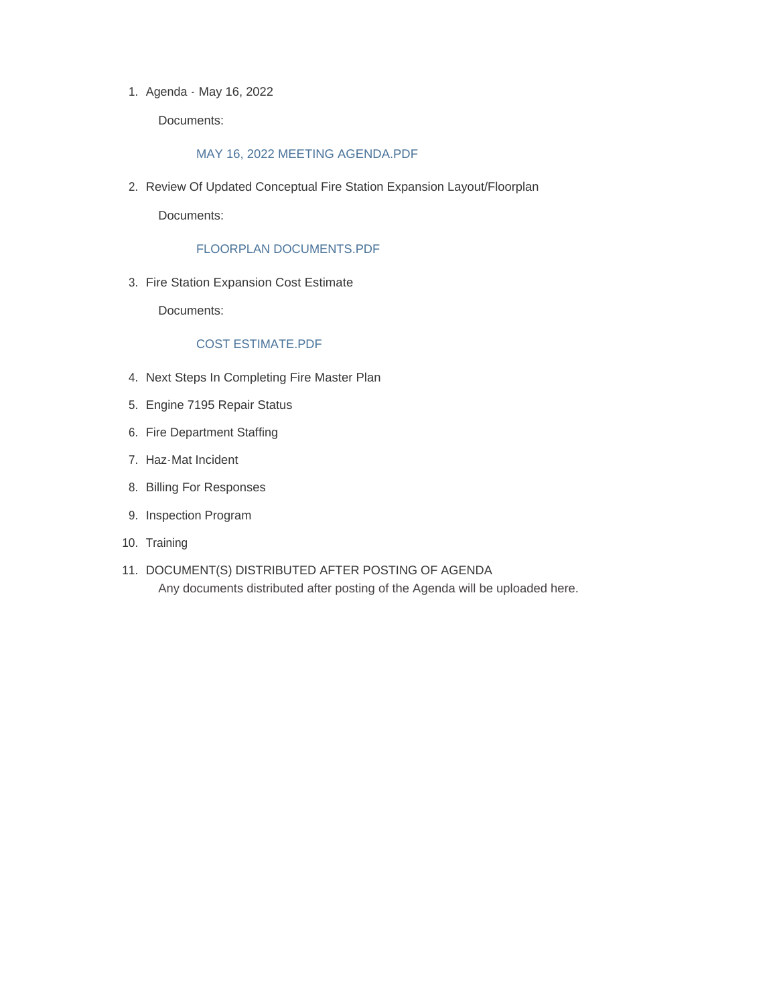1. Agenda - May 16, 2022

Documents:

#### MAY 16, 2022 MEETING AGENDA.PDF

2. Review Of Updated Conceptual Fire Station Expansion Layout/Floorplan

Documents:

#### FLOORPLAN DOCUMENTS.PDF

3. Fire Station Expansion Cost Estimate

Documents:

#### COST ESTIMATE.PDF

- 4. Next Steps In Completing Fire Master Plan
- Engine 7195 Repair Status 5.
- 6. Fire Department Staffing
- 7. Haz-Mat Incident
- Billing For Responses 8.
- 9. Inspection Program
- 10. Training
- 11. DOCUMENT(S) DISTRIBUTED AFTER POSTING OF AGENDA Any documents distributed after posting of the Agenda will be uploaded here.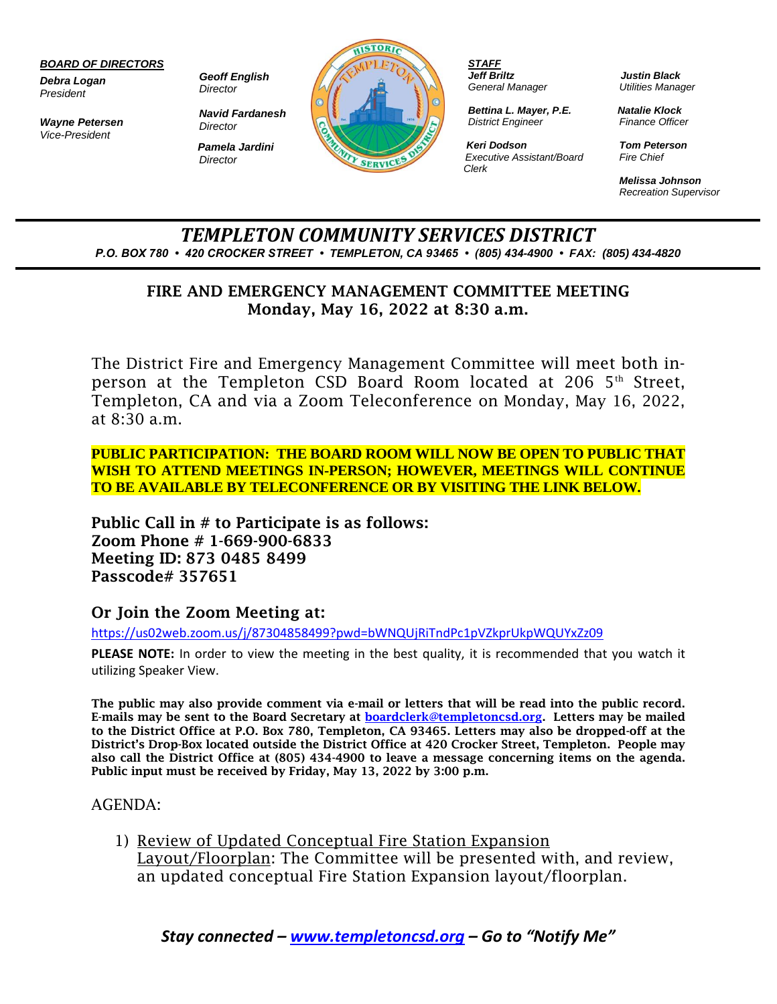#### *BOARD OF DIRECTORS*

*Debra Logan President*

*Wayne Petersen Vice-President*

*Geoff English Director*

*Navid Fardanesh Director Pamela Jardini Director*



*STAFF Jeff Briltz General Manager*

*Bettina L. Mayer, P.E. District Engineer*

*Keri Dodson Executive Assistant/Board Clerk*

*Justin Black Utilities Manager*

*Natalie Klock Finance Officer*

*Tom Peterson Fire Chief*

*Melissa Johnson Recreation Supervisor*

*TEMPLETON COMMUNITY SERVICES DISTRICT P.O. BOX 780 • 420 CROCKER STREET • TEMPLETON, CA 93465 • (805) 434-4900 • FAX: (805) 434-4820*

### FIRE AND EMERGENCY MANAGEMENT COMMITTEE MEETING Monday, May 16, 2022 at 8:30 a.m.

The District Fire and Emergency Management Committee will meet both inperson at the Templeton CSD Board Room located at 206  $5<sup>th</sup>$  Street, Templeton, CA and via a Zoom Teleconference on Monday, May 16, 2022, at 8:30 a.m.

**PUBLIC PARTICIPATION: THE BOARD ROOM WILL NOW BE OPEN TO PUBLIC THAT WISH TO ATTEND MEETINGS IN-PERSON; HOWEVER, MEETINGS WILL CONTINUE TO BE AVAILABLE BY TELECONFERENCE OR BY VISITING THE LINK BELOW.**

Public Call in # to Participate is as follows: Zoom Phone # 1-669-900-6833 Meeting ID: 873 0485 8499 Passcode# 357651

### Or Join the Zoom Meeting at:

<https://us02web.zoom.us/j/87304858499?pwd=bWNQUjRiTndPc1pVZkprUkpWQUYxZz09>

**PLEASE NOTE:** In order to view the meeting in the best quality, it is recommended that you watch it utilizing Speaker View.

The public may also provide comment via e-mail or letters that will be read into the public record. E-mails may be sent to the Board Secretary at **boardclerk@templetoncsd.org**. Letters may be mailed to the District Office at P.O. Box 780, Templeton, CA 93465. Letters may also be dropped-off at the District's Drop-Box located outside the District Office at 420 Crocker Street, Templeton. People may also call the District Office at (805) 434-4900 to leave a message concerning items on the agenda. Public input must be received by Friday, May 13, 2022 by 3:00 p.m.

### AGENDA:

1) Review of Updated Conceptual Fire Station Expansion Layout/Floorplan: The Committee will be presented with, and review, an updated conceptual Fire Station Expansion layout/floorplan.

*Stay connected – [www.templetoncsd.org](http://www.templetoncsd.org/) – Go to "Notify Me"*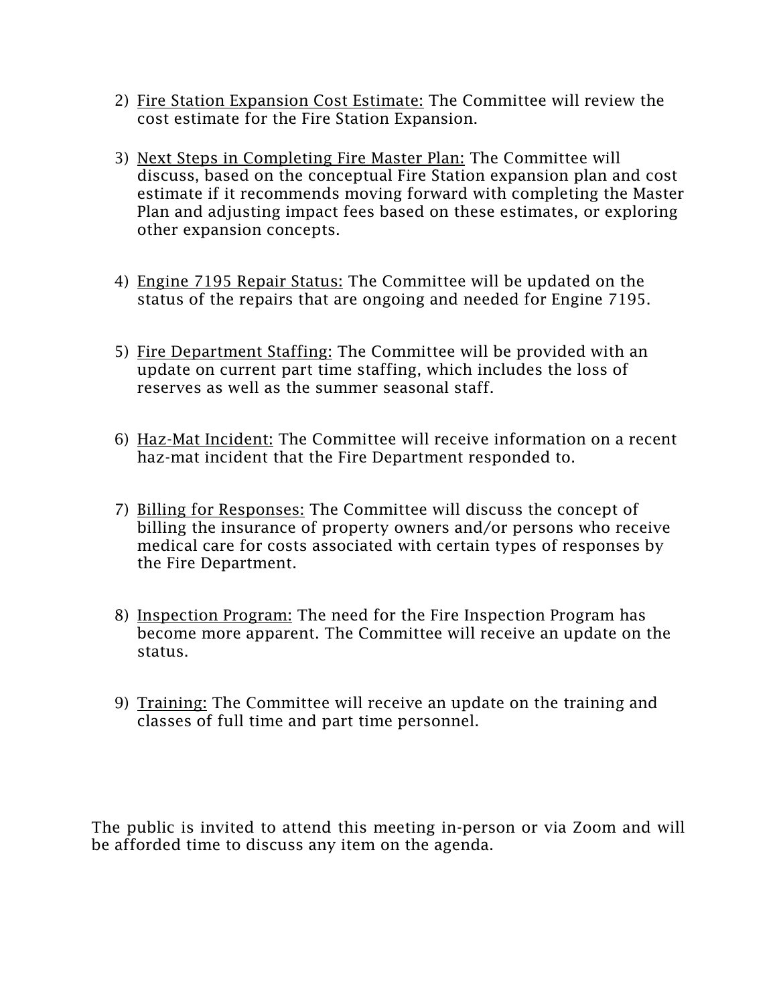- 2) Fire Station Expansion Cost Estimate: The Committee will review the cost estimate for the Fire Station Expansion.
- 3) Next Steps in Completing Fire Master Plan: The Committee will discuss, based on the conceptual Fire Station expansion plan and cost estimate if it recommends moving forward with completing the Master Plan and adjusting impact fees based on these estimates, or exploring other expansion concepts.
- 4) Engine 7195 Repair Status: The Committee will be updated on the status of the repairs that are ongoing and needed for Engine 7195.
- 5) Fire Department Staffing: The Committee will be provided with an update on current part time staffing, which includes the loss of reserves as well as the summer seasonal staff.
- 6) Haz-Mat Incident: The Committee will receive information on a recent haz-mat incident that the Fire Department responded to.
- billing the insurance of property owners and/or persons who receive medical care for costs associated with certain types of responses by the Fire Department. 7) Billing for Responses: The Committee will discuss the concept of
- 8) Inspection Program: The need for the Fire Inspection Program has become more apparent. The Committee will receive an update on the status.
- 9) Training: The Committee will receive an update on the training and classes of full time and part time personnel.

The public is invited to attend this meeting in-person or via Zoom and will be afforded time to discuss any item on the agenda.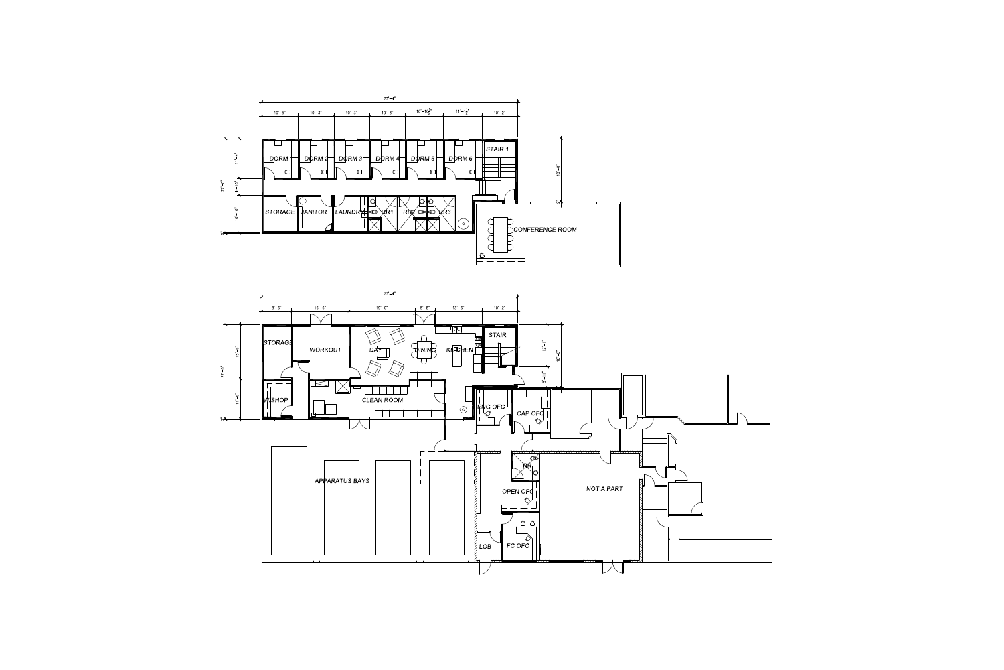

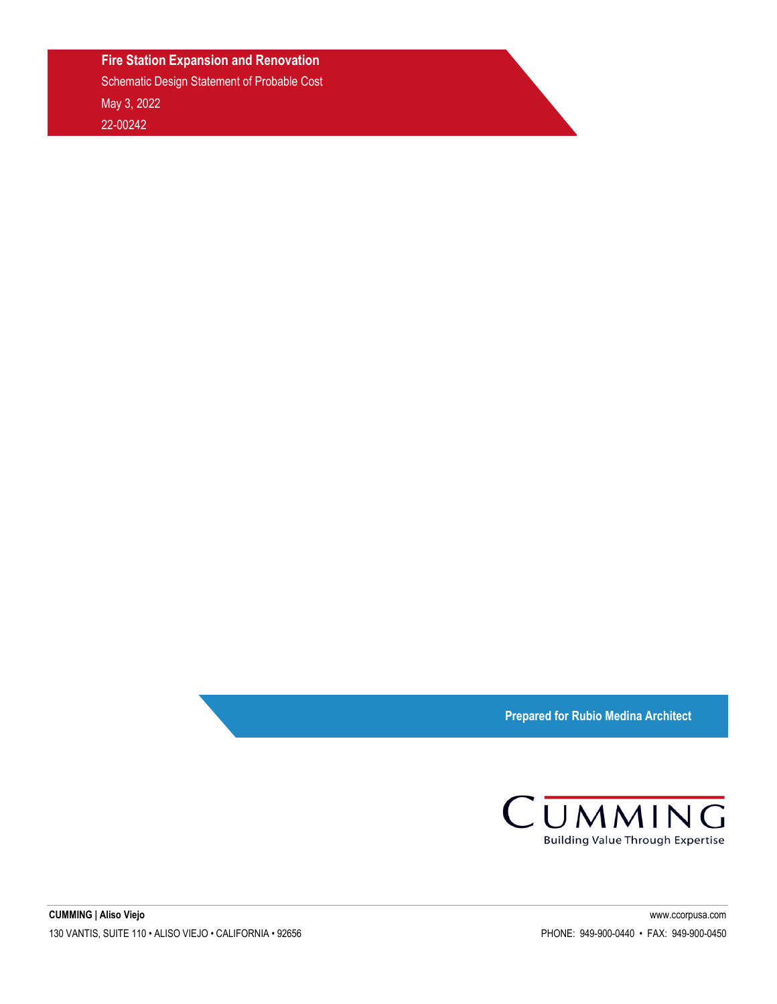#### **Fire Station Expansion and Renovation**

Schematic Design Statement of Probable Cost May 3, 2022 22-00242

**Prepared for Rubio Medina Architect**

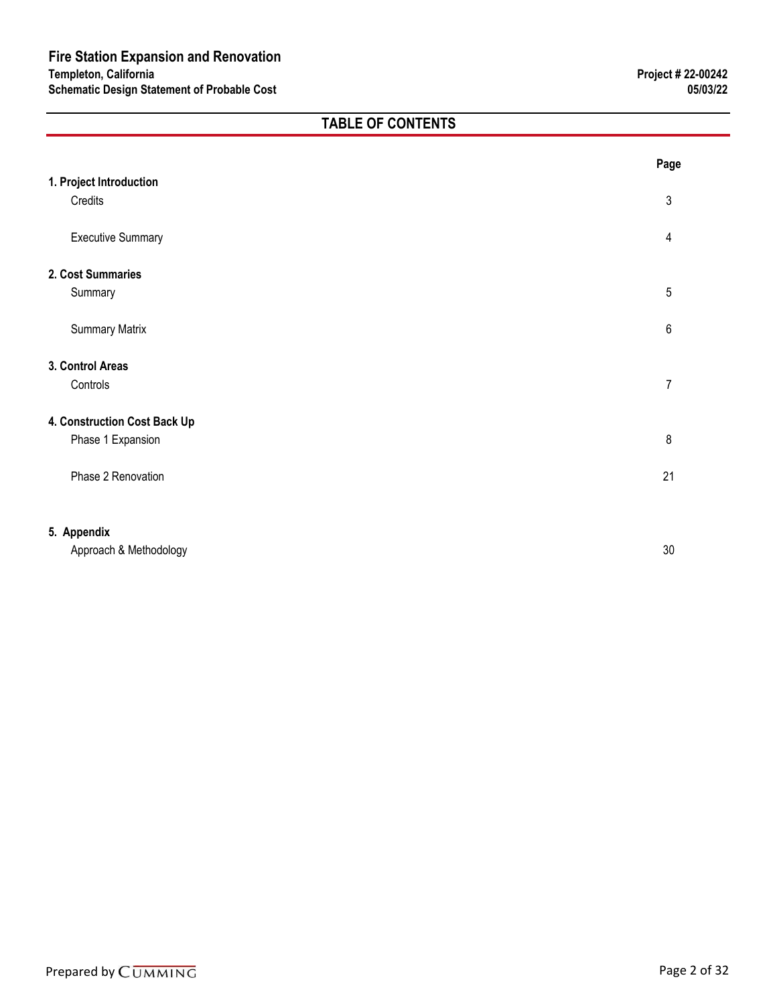### **TABLE OF CONTENTS**

|                              | Page           |
|------------------------------|----------------|
| 1. Project Introduction      |                |
| Credits                      | 3              |
| <b>Executive Summary</b>     | 4              |
| 2. Cost Summaries            |                |
| Summary                      | 5              |
| <b>Summary Matrix</b>        | 6              |
| 3. Control Areas             |                |
| Controls                     | $\overline{7}$ |
| 4. Construction Cost Back Up |                |
| Phase 1 Expansion            | 8              |
| Phase 2 Renovation           | 21             |
|                              |                |
| 5. Appendix                  |                |
| Approach & Methodology       | 30             |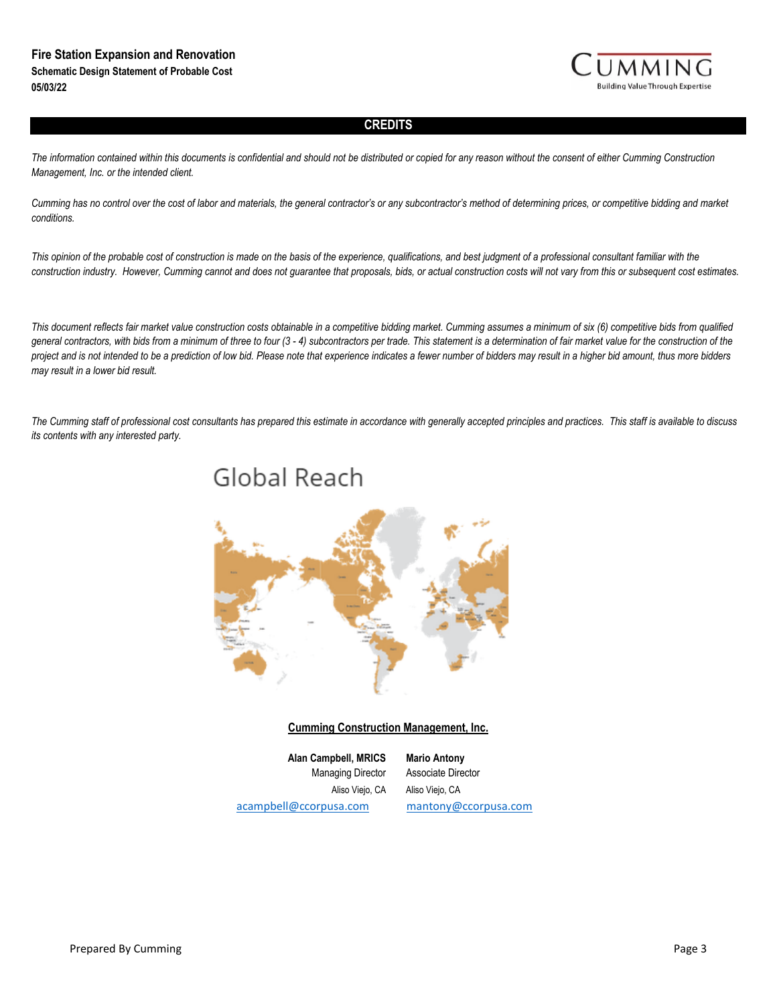

#### **CREDITS**

*The information contained within this documents is confidential and should not be distributed or copied for any reason without the consent of either Cumming Construction Management, Inc. or the intended client.* 

*Cumming has no control over the cost of labor and materials, the general contractor's or any subcontractor's method of determining prices, or competitive bidding and market conditions.*

*This opinion of the probable cost of construction is made on the basis of the experience, qualifications, and best judgment of a professional consultant familiar with the construction industry. However, Cumming cannot and does not guarantee that proposals, bids, or actual construction costs will not vary from this or subsequent cost estimates.*

*This document reflects fair market value construction costs obtainable in a competitive bidding market. Cumming assumes a minimum of six (6) competitive bids from qualified general contractors, with bids from a minimum of three to four (3 - 4) subcontractors per trade. This statement is a determination of fair market value for the construction of the*  project and is not intended to be a prediction of low bid. Please note that experience indicates a fewer number of bidders may result in a higher bid amount, thus more bidders *may result in a lower bid result.* 

*The Cumming staff of professional cost consultants has prepared this estimate in accordance with generally accepted principles and practices. This staff is available to discuss its contents with any interested party.*



#### **Cumming Construction Management, Inc.**

Aliso Viejo, CA Aliso Viejo, CA acampbell@ccorpusa.com mantony@ccorpusa.com **Alan Campbell, MRICS Mario Antony** Managing Director Associate Director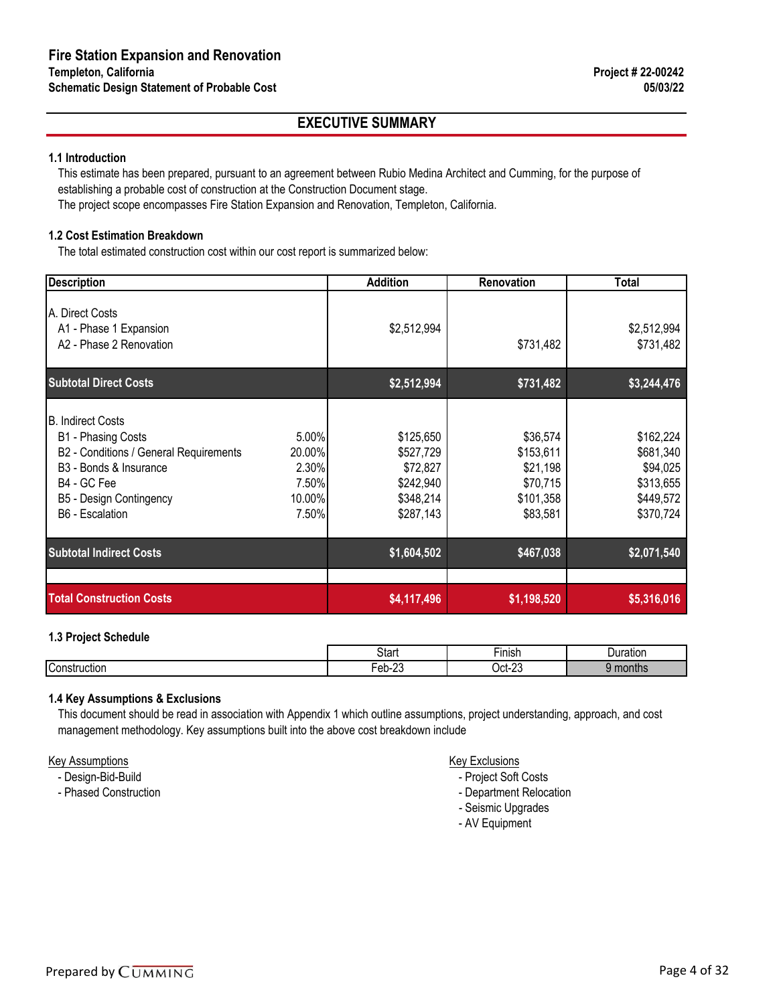### **EXECUTIVE SUMMARY**

#### **1.1 Introduction**

This estimate has been prepared, pursuant to an agreement between Rubio Medina Architect and Cumming, for the purpose of establishing a probable cost of construction at the Construction Document stage.

The project scope encompasses Fire Station Expansion and Renovation, Templeton, California.

#### **1.2 Cost Estimation Breakdown**

The total estimated construction cost within our cost report is summarized below:

| <b>Description</b>                                                                                                                                                                          | <b>Addition</b>                                                                                                                   | Renovation                                                             | Total                                                                     |
|---------------------------------------------------------------------------------------------------------------------------------------------------------------------------------------------|-----------------------------------------------------------------------------------------------------------------------------------|------------------------------------------------------------------------|---------------------------------------------------------------------------|
| A. Direct Costs<br>A1 - Phase 1 Expansion<br>A2 - Phase 2 Renovation                                                                                                                        | \$2,512,994                                                                                                                       | \$731,482                                                              | \$2,512,994<br>\$731,482                                                  |
| <b>Subtotal Direct Costs</b>                                                                                                                                                                | \$2,512,994                                                                                                                       | \$731,482                                                              | \$3,244,476                                                               |
| <b>B. Indirect Costs</b><br>B1 - Phasing Costs<br>B2 - Conditions / General Requirements<br>B <sub>3</sub> - Bonds & Insurance<br>B4 - GC Fee<br>B5 - Design Contingency<br>B6 - Escalation | 5.00%<br>\$125,650<br>20.00%<br>\$527,729<br>2.30%<br>\$72,827<br>7.50%<br>\$242,940<br>10.00%<br>\$348,214<br>7.50%<br>\$287,143 | \$36,574<br>\$153,611<br>\$21,198<br>\$70,715<br>\$101,358<br>\$83,581 | \$162,224<br>\$681,340<br>\$94,025<br>\$313,655<br>\$449,572<br>\$370,724 |
| <b>Subtotal Indirect Costs</b>                                                                                                                                                              | \$1,604,502                                                                                                                       | \$467,038                                                              | \$2,071,540                                                               |
| <b>Total Construction Costs</b>                                                                                                                                                             | \$4,117,496                                                                                                                       | \$1,198,520                                                            | \$5,316,016                                                               |

#### **1.3 Project Schedule**

|                     | Start                              | $- \cdot$<br>∙ınısr              | Jura<br>.<br>ration |
|---------------------|------------------------------------|----------------------------------|---------------------|
| Const<br>าstruction | $\sim$<br>$\sim$<br>⊢or<br>U<br>-- | $\sim$<br>$)$ ct- $\lambda$<br>້ | טווויוטו            |

#### **1.4 Key Assumptions & Exclusions**

This document should be read in association with Appendix 1 which outline assumptions, project understanding, approach, and cost management methodology. Key assumptions built into the above cost breakdown include

#### Key Assumptions Key Exclusions

- Design-Bid-Build  **Project Soft Costs**
- Phased Construction  **Department Relocation** Department Relocation
	- Seismic Upgrades
	- AV Equipment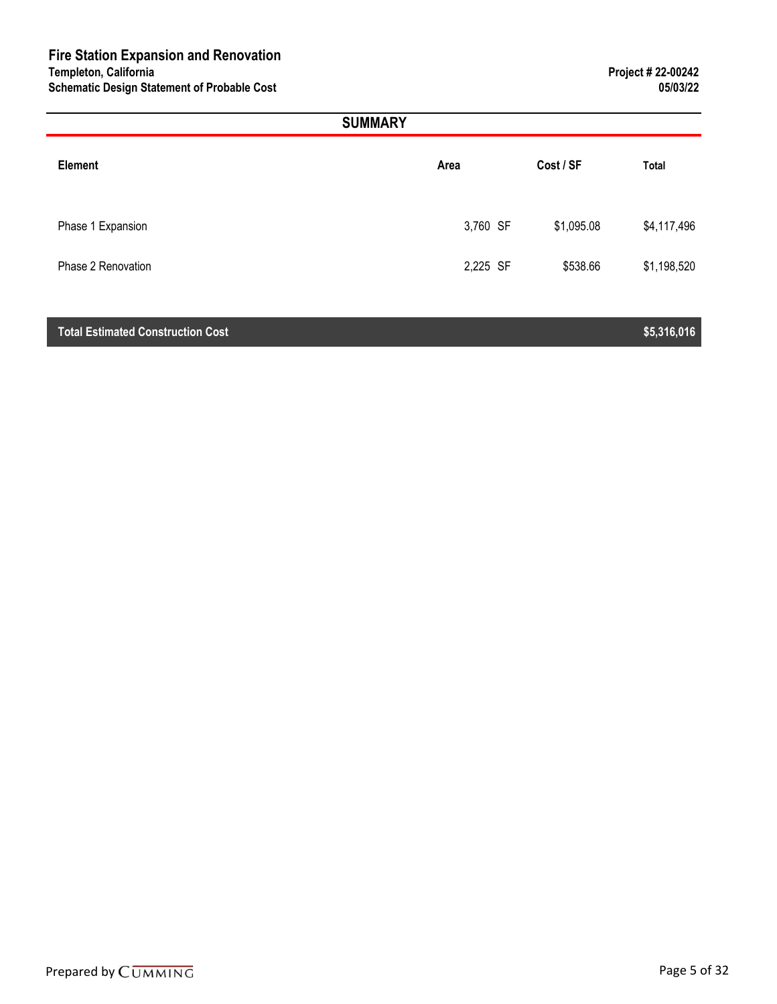|                    | <b>SUMMARY</b> |            |             |
|--------------------|----------------|------------|-------------|
| <b>Element</b>     | Area           | Cost / SF  | Total       |
| Phase 1 Expansion  | 3,760 SF       | \$1,095.08 | \$4,117,496 |
| Phase 2 Renovation | 2,225 SF       | \$538.66   | \$1,198,520 |

#### **Total Estimated Construction Cost \$5,316,016**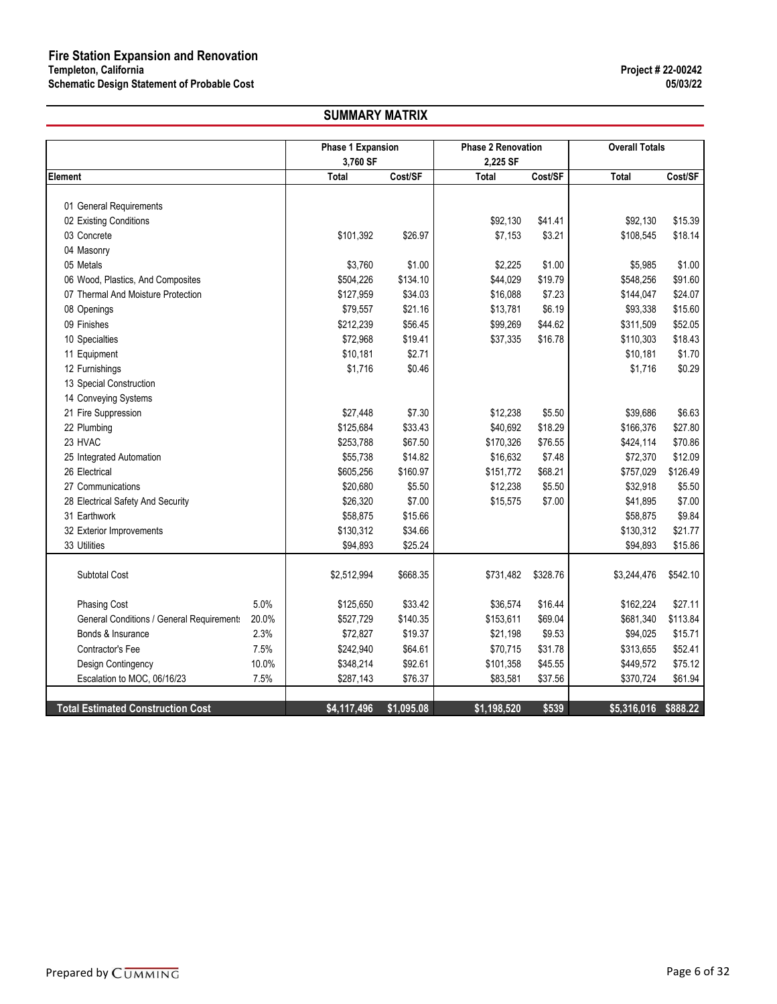#### **SUMMARY MATRIX**

|                                                    | <b>Phase 1 Expansion</b> |            | <b>Phase 2 Renovation</b> |          | <b>Overall Totals</b> |          |
|----------------------------------------------------|--------------------------|------------|---------------------------|----------|-----------------------|----------|
|                                                    | 3,760 SF                 |            | 2,225 SF                  |          |                       |          |
| Element                                            | <b>Total</b>             | Cost/SF    | <b>Total</b>              | Cost/SF  | <b>Total</b>          | Cost/SF  |
|                                                    |                          |            |                           |          |                       |          |
| 01 General Requirements                            |                          |            |                           |          |                       |          |
| 02 Existing Conditions                             |                          |            | \$92,130                  | \$41.41  | \$92,130              | \$15.39  |
| 03 Concrete                                        | \$101,392                | \$26.97    | \$7,153                   | \$3.21   | \$108,545             | \$18.14  |
| 04 Masonry                                         |                          |            |                           |          |                       |          |
| 05 Metals                                          | \$3,760                  | \$1.00     | \$2,225                   | \$1.00   | \$5,985               | \$1.00   |
| 06 Wood, Plastics, And Composites                  | \$504,226                | \$134.10   | \$44,029                  | \$19.79  | \$548,256             | \$91.60  |
| 07 Thermal And Moisture Protection                 | \$127,959                | \$34.03    | \$16,088                  | \$7.23   | \$144,047             | \$24.07  |
| 08 Openings                                        | \$79,557                 | \$21.16    | \$13,781                  | \$6.19   | \$93,338              | \$15.60  |
| 09 Finishes                                        | \$212,239                | \$56.45    | \$99,269                  | \$44.62  | \$311,509             | \$52.05  |
| 10 Specialties                                     | \$72,968                 | \$19.41    | \$37,335                  | \$16.78  | \$110,303             | \$18.43  |
| 11 Equipment                                       | \$10,181                 | \$2.71     |                           |          | \$10,181              | \$1.70   |
| 12 Furnishings                                     | \$1,716                  | \$0.46     |                           |          | \$1,716               | \$0.29   |
| 13 Special Construction                            |                          |            |                           |          |                       |          |
| 14 Conveying Systems                               |                          |            |                           |          |                       |          |
| 21 Fire Suppression                                | \$27,448                 | \$7.30     | \$12,238                  | \$5.50   | \$39,686              | \$6.63   |
| 22 Plumbing                                        | \$125,684                | \$33.43    | \$40,692                  | \$18.29  | \$166,376             | \$27.80  |
| 23 HVAC                                            | \$253,788                | \$67.50    | \$170,326                 | \$76.55  | \$424,114             | \$70.86  |
| 25 Integrated Automation                           | \$55,738                 | \$14.82    | \$16,632                  | \$7.48   | \$72,370              | \$12.09  |
| 26 Electrical                                      | \$605,256                | \$160.97   | \$151,772                 | \$68.21  | \$757,029             | \$126.49 |
| 27 Communications                                  | \$20,680                 | \$5.50     | \$12,238                  | \$5.50   | \$32,918              | \$5.50   |
| 28 Electrical Safety And Security                  | \$26,320                 | \$7.00     | \$15,575                  | \$7.00   | \$41,895              | \$7.00   |
| 31 Earthwork                                       | \$58,875                 | \$15.66    |                           |          | \$58,875              | \$9.84   |
| 32 Exterior Improvements                           | \$130,312                | \$34.66    |                           |          | \$130,312             | \$21.77  |
| 33 Utilities                                       | \$94,893                 | \$25.24    |                           |          | \$94,893              | \$15.86  |
| Subtotal Cost                                      | \$2,512,994              | \$668.35   | \$731,482                 | \$328.76 | \$3,244,476           | \$542.10 |
| 5.0%<br><b>Phasing Cost</b>                        | \$125,650                | \$33.42    | \$36,574                  | \$16.44  | \$162,224             | \$27.11  |
| General Conditions / General Requirements<br>20.0% | \$527,729                | \$140.35   | \$153,611                 | \$69.04  | \$681,340             | \$113.84 |
| 2.3%<br>Bonds & Insurance                          | \$72,827                 | \$19.37    | \$21,198                  | \$9.53   | \$94,025              | \$15.71  |
| 7.5%<br>Contractor's Fee                           | \$242,940                | \$64.61    | \$70,715                  | \$31.78  | \$313,655             | \$52.41  |
| 10.0%<br>Design Contingency                        | \$348,214                | \$92.61    | \$101,358                 | \$45.55  | \$449,572             | \$75.12  |
| 7.5%<br>Escalation to MOC, 06/16/23                | \$287,143                | \$76.37    | \$83,581                  | \$37.56  | \$370,724             | \$61.94  |
|                                                    |                          |            |                           |          |                       |          |
| <b>Total Estimated Construction Cost</b>           | \$4,117,496              | \$1,095.08 | \$1,198,520               | \$539    | \$5,316,016           | \$888.22 |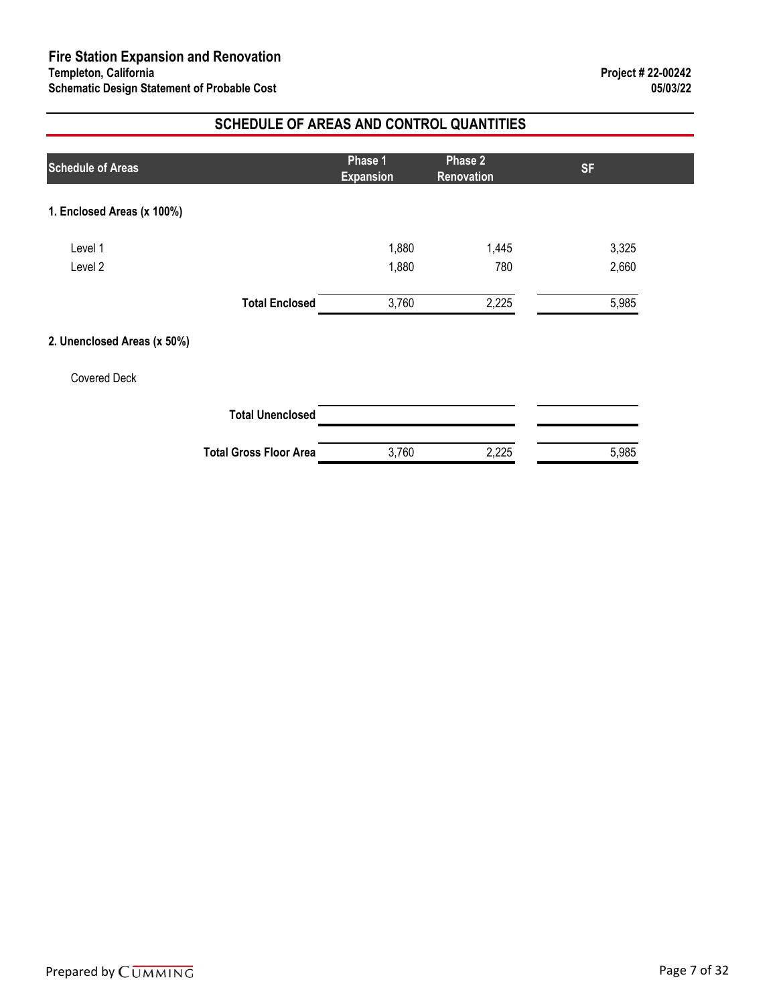### **SCHEDULE OF AREAS AND CONTROL QUANTITIES**

| <b>Schedule of Areas</b>    |                               | Phase 1<br><b>Expansion</b> | Phase 2<br>Renovation | <b>SF</b> |  |
|-----------------------------|-------------------------------|-----------------------------|-----------------------|-----------|--|
| 1. Enclosed Areas (x 100%)  |                               |                             |                       |           |  |
| Level 1                     |                               | 1,880                       | 1,445                 | 3,325     |  |
| Level 2                     |                               | 1,880                       | 780                   | 2,660     |  |
|                             | <b>Total Enclosed</b>         | 3,760                       | 2,225                 | 5,985     |  |
| 2. Unenclosed Areas (x 50%) |                               |                             |                       |           |  |
| <b>Covered Deck</b>         |                               |                             |                       |           |  |
|                             | <b>Total Unenclosed</b>       |                             |                       |           |  |
|                             | <b>Total Gross Floor Area</b> | 3,760                       | 2,225                 | 5,985     |  |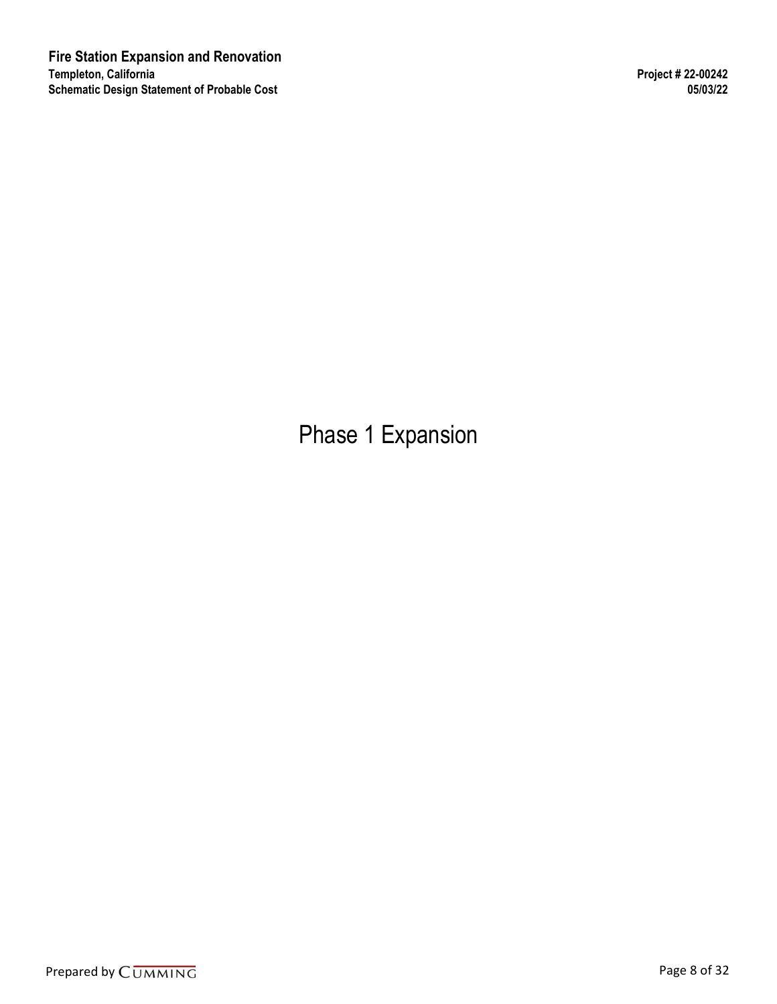Phase 1 Expansion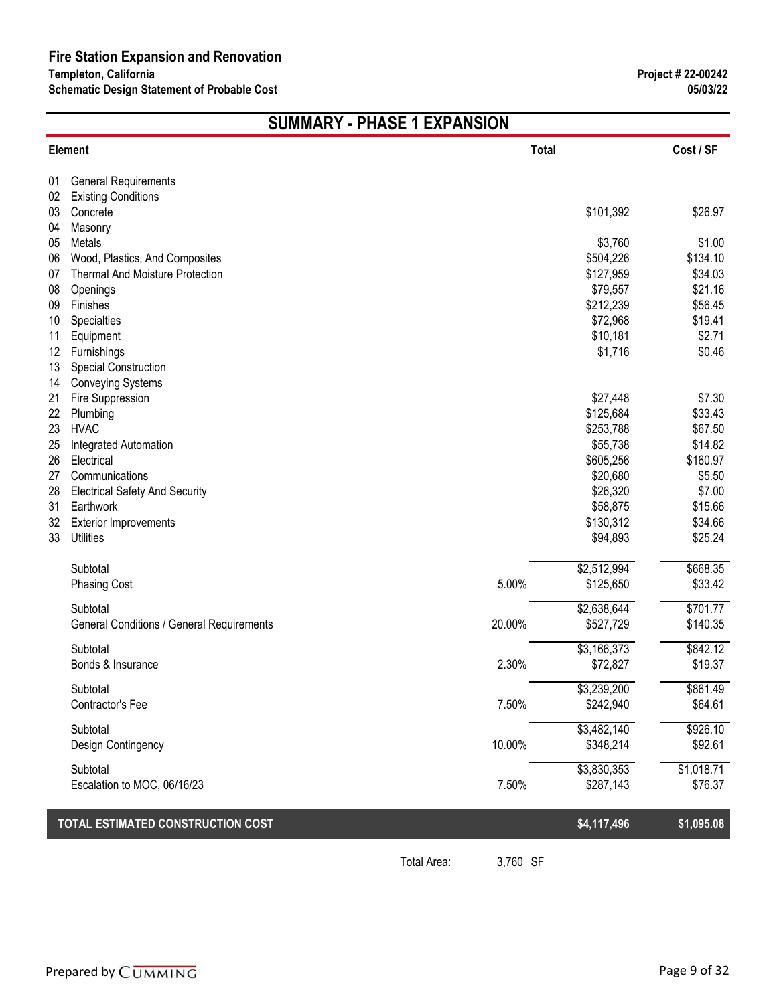# **SUMMARY - PHASE 1 EXPANSION**

|          | Element                                   | Total  |                        | Cost / SF         |
|----------|-------------------------------------------|--------|------------------------|-------------------|
| 01       | <b>General Requirements</b>               |        |                        |                   |
| 02       | <b>Existing Conditions</b>                |        |                        |                   |
| 03       | Concrete                                  |        | \$101,392              | \$26.97           |
| 04       | Masonry                                   |        |                        |                   |
| 05       | Metals                                    |        | \$3,760                | \$1.00            |
| 06       | Wood, Plastics, And Composites            |        | \$504,226              | \$134.10          |
| 07       | <b>Thermal And Moisture Protection</b>    |        | \$127,959              | \$34.03           |
| 08       | Openings                                  |        | \$79,557               | \$21.16           |
| 09       | Finishes                                  |        | \$212,239              | \$56.45           |
| 10       | Specialties                               |        | \$72,968               | \$19.41           |
| 11       | Equipment                                 |        | \$10,181               | \$2.71            |
| 12       | Furnishings                               |        | \$1,716                | \$0.46            |
| 13       | Special Construction                      |        |                        |                   |
| 14       | <b>Conveying Systems</b>                  |        |                        |                   |
| 21       | Fire Suppression                          |        | \$27,448               | \$7.30<br>\$33.43 |
| 22<br>23 | Plumbing<br><b>HVAC</b>                   |        | \$125,684<br>\$253,788 | \$67.50           |
| 25       | Integrated Automation                     |        | \$55,738               | \$14.82           |
| 26       | Electrical                                |        | \$605,256              | \$160.97          |
| 27       | Communications                            |        | \$20,680               | \$5.50            |
| 28       | <b>Electrical Safety And Security</b>     |        | \$26,320               | \$7.00            |
| 31       | Earthwork                                 |        | \$58,875               | \$15.66           |
| 32       | <b>Exterior Improvements</b>              |        | \$130,312              | \$34.66           |
| 33       | <b>Utilities</b>                          |        | \$94,893               | \$25.24           |
|          |                                           |        |                        |                   |
|          | Subtotal                                  |        | \$2,512,994            | \$668.35          |
|          | <b>Phasing Cost</b>                       | 5.00%  | \$125,650              | \$33.42           |
|          | Subtotal                                  |        | \$2,638,644            | \$701.77          |
|          | General Conditions / General Requirements | 20.00% | \$527,729              | \$140.35          |
|          | Subtotal                                  |        | \$3,166,373            | \$842.12          |
|          | Bonds & Insurance                         | 2.30%  | \$72,827               | \$19.37           |
|          |                                           |        |                        |                   |
|          | Subtotal                                  |        | \$3,239,200            | \$861.49          |
|          | <b>Contractor's Fee</b>                   | 7.50%  | \$242,940              | \$64.61           |
|          | Subtotal                                  |        | \$3,482,140            | \$926.10          |
|          | Design Contingency                        | 10.00% | \$348,214              | \$92.61           |
|          | Subtotal                                  |        | \$3,830,353            | \$1,018.71        |
|          | Escalation to MOC, 06/16/23               | 7.50%  | \$287,143              | \$76.37           |
|          |                                           |        |                        |                   |
|          | TOTAL ESTIMATED CONSTRUCTION COST         |        | \$4,117,496            | \$1,095.08        |
|          |                                           |        |                        |                   |

Total Area: 3,760 SF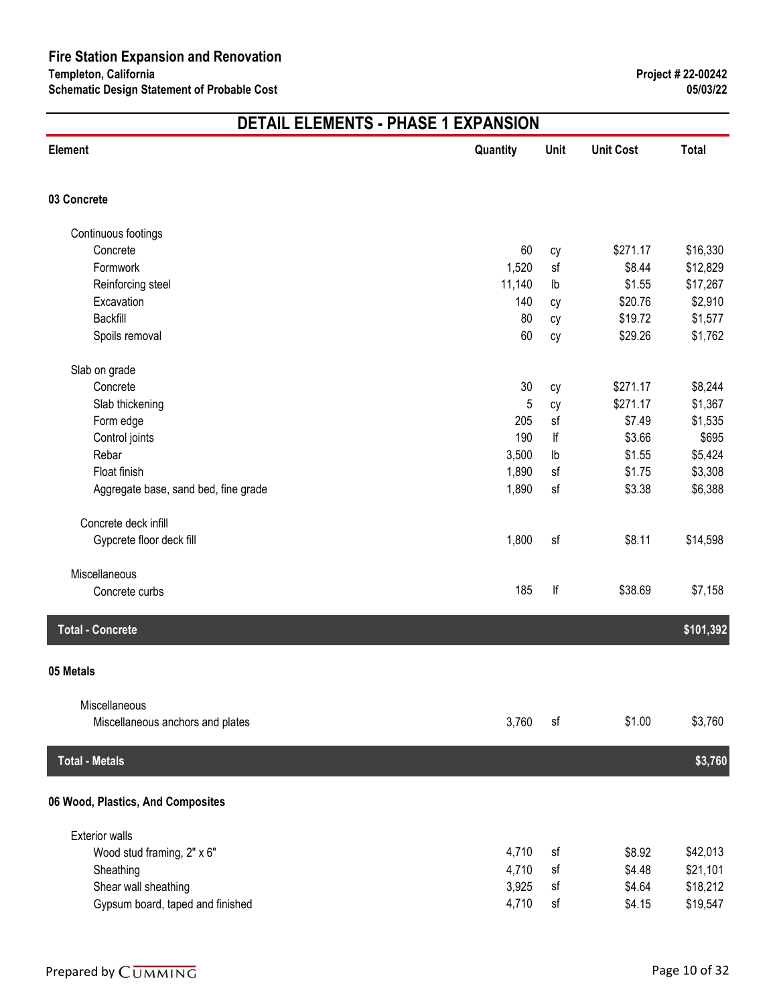| <b>Element</b>                       | Quantity | Unit          | <b>Unit Cost</b> | <b>Total</b> |
|--------------------------------------|----------|---------------|------------------|--------------|
| 03 Concrete                          |          |               |                  |              |
| Continuous footings                  |          |               |                  |              |
| Concrete                             | 60       | cy            | \$271.17         | \$16,330     |
| Formwork                             | 1,520    | sf            | \$8.44           | \$12,829     |
| Reinforcing steel                    | 11,140   | $\mathsf{lb}$ | \$1.55           | \$17,267     |
| Excavation                           | 140      | сy            | \$20.76          | \$2,910      |
| Backfill                             | 80       | cy            | \$19.72          | \$1,577      |
| Spoils removal                       | 60       | cy            | \$29.26          | \$1,762      |
| Slab on grade                        |          |               |                  |              |
| Concrete                             | 30       | сy            | \$271.17         | \$8,244      |
| Slab thickening                      | 5        | сy            | \$271.17         | \$1,367      |
| Form edge                            | 205      | sf            | \$7.49           | \$1,535      |
| Control joints                       | 190      | lf            | \$3.66           | \$695        |
| Rebar                                | 3,500    | $\mathsf{lb}$ | \$1.55           | \$5,424      |
| Float finish                         | 1,890    | sf            | \$1.75           | \$3,308      |
| Aggregate base, sand bed, fine grade | 1,890    | sf            | \$3.38           | \$6,388      |
| Concrete deck infill                 |          |               |                  |              |
| Gypcrete floor deck fill             | 1,800    | sf            | \$8.11           | \$14,598     |
| Miscellaneous                        |          |               |                  |              |
| Concrete curbs                       | 185      | lf            | \$38.69          | \$7,158      |
| <b>Total - Concrete</b>              |          |               |                  | \$101,392    |
| 05 Metals                            |          |               |                  |              |
| Miscellaneous                        |          |               |                  |              |
| Miscellaneous anchors and plates     | 3,760    | sf            | \$1.00           | \$3,760      |
| <b>Total - Metals</b>                |          |               |                  | \$3,760      |
| 06 Wood, Plastics, And Composites    |          |               |                  |              |
| <b>Exterior walls</b>                |          |               |                  |              |
| Wood stud framing, 2" x 6"           | 4,710    | sf            | \$8.92           | \$42,013     |
| Sheathing                            | 4,710    | sf            | \$4.48           | \$21,101     |
| Shear wall sheathing                 | 3,925    | sf            | \$4.64           | \$18,212     |
| Gypsum board, taped and finished     | 4,710    | sf            | \$4.15           | \$19,547     |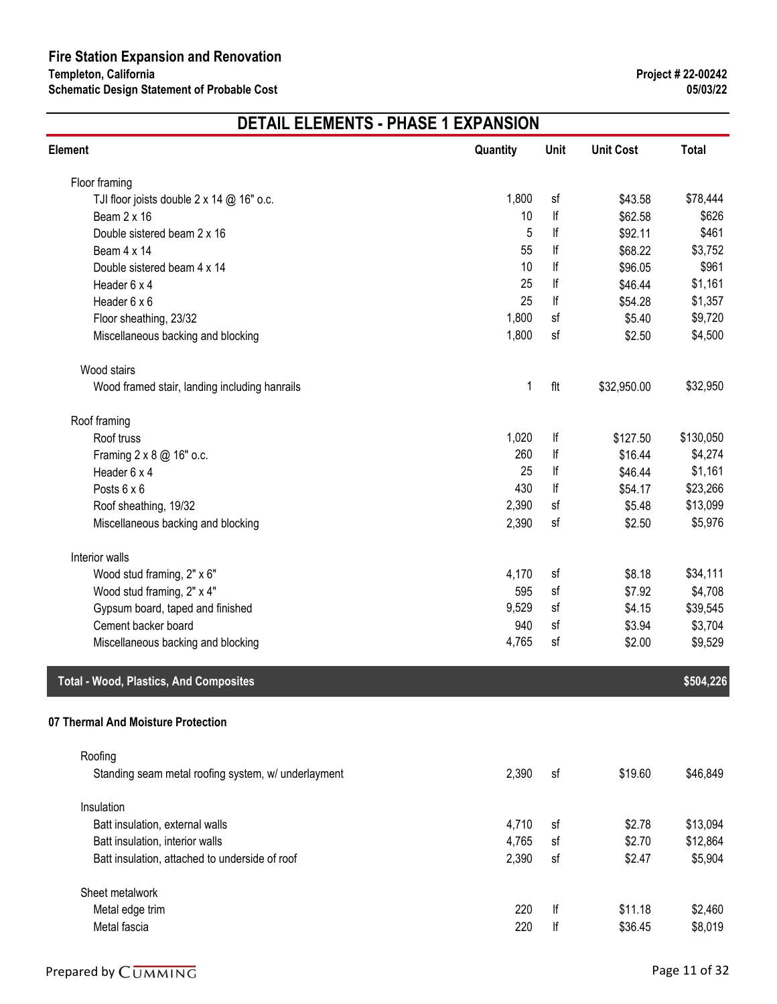| <b>Element</b>                                      | Quantity | Unit | <b>Unit Cost</b> | <b>Total</b> |
|-----------------------------------------------------|----------|------|------------------|--------------|
| Floor framing                                       |          |      |                  |              |
| TJI floor joists double $2 \times 14$ @ 16" o.c.    | 1,800    | sf   | \$43.58          | \$78,444     |
| Beam 2 x 16                                         | 10       | lf   | \$62.58          | \$626        |
| Double sistered beam 2 x 16                         | 5        | lf   | \$92.11          | \$461        |
| Beam 4 x 14                                         | 55       | lf   | \$68.22          | \$3,752      |
| Double sistered beam 4 x 14                         | 10       | lf   | \$96.05          | \$961        |
| Header 6 x 4                                        | 25       | lf   | \$46.44          | \$1,161      |
| Header 6 x 6                                        | 25       | lf   | \$54.28          | \$1,357      |
| Floor sheathing, 23/32                              | 1,800    | sf   | \$5.40           | \$9,720      |
| Miscellaneous backing and blocking                  | 1,800    | sf   | \$2.50           | \$4,500      |
| Wood stairs                                         |          |      |                  |              |
| Wood framed stair, landing including hanrails       | 1        | flt  | \$32,950.00      | \$32,950     |
| Roof framing                                        |          |      |                  |              |
| Roof truss                                          | 1,020    | lf   | \$127.50         | \$130,050    |
| Framing 2 x 8 @ 16" o.c.                            | 260      | lf   | \$16.44          | \$4,274      |
| Header 6 x 4                                        | 25       | lf   | \$46.44          | \$1,161      |
| Posts 6 x 6                                         | 430      | lf   | \$54.17          | \$23,266     |
| Roof sheathing, 19/32                               | 2,390    | sf   | \$5.48           | \$13,099     |
| Miscellaneous backing and blocking                  | 2,390    | sf   | \$2.50           | \$5,976      |
| Interior walls                                      |          |      |                  |              |
| Wood stud framing, 2" x 6"                          | 4,170    | sf   | \$8.18           | \$34,111     |
| Wood stud framing, 2" x 4"                          | 595      | sf   | \$7.92           | \$4,708      |
| Gypsum board, taped and finished                    | 9,529    | sf   | \$4.15           | \$39,545     |
| Cement backer board                                 | 940      | sf   | \$3.94           | \$3,704      |
| Miscellaneous backing and blocking                  | 4,765    | sf   | \$2.00           | \$9,529      |
| <b>Total - Wood, Plastics, And Composites</b>       |          |      |                  | \$504,226    |
| 07 Thermal And Moisture Protection                  |          |      |                  |              |
| Roofing                                             |          |      |                  |              |
| Standing seam metal roofing system, w/ underlayment | 2,390    | sf   | \$19.60          | \$46,849     |
| Insulation                                          |          |      |                  |              |
| Batt insulation, external walls                     | 4,710    | sf   | \$2.78           | \$13,094     |
| Batt insulation, interior walls                     | 4,765    | sf   | \$2.70           | \$12,864     |
| Batt insulation, attached to underside of roof      | 2,390    | sf   | \$2.47           | \$5,904      |
| Sheet metalwork                                     |          |      |                  |              |
| Metal edge trim                                     | 220      | lf   | \$11.18          | \$2,460      |
| Metal fascia                                        | 220      | lf   | \$36.45          | \$8,019      |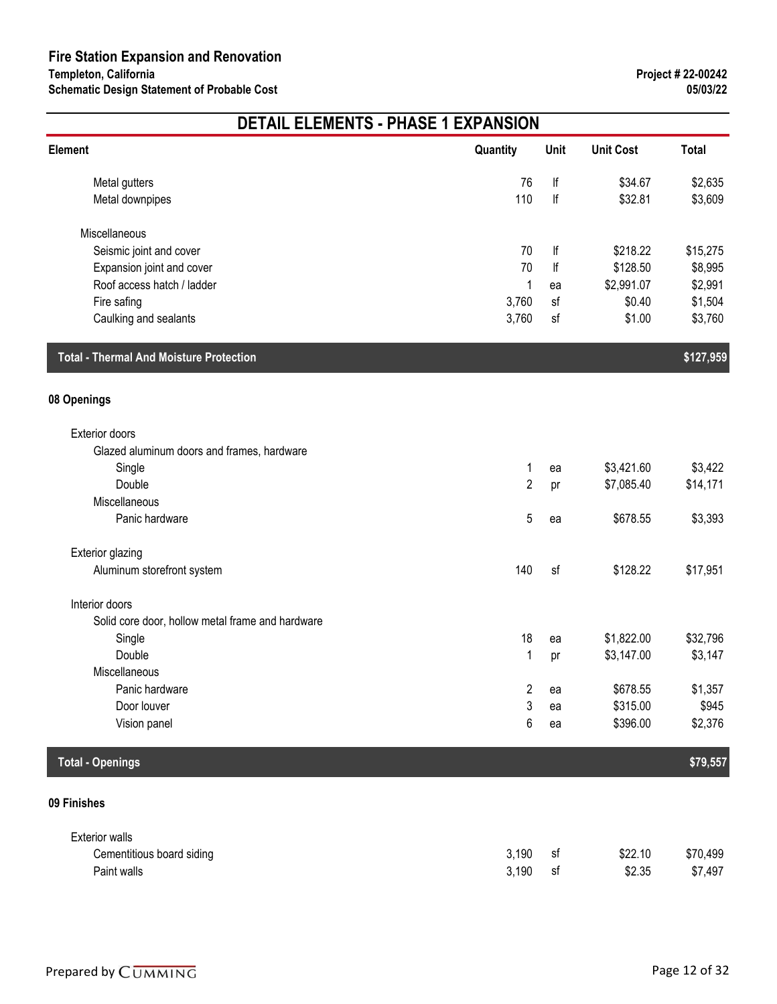|                                                  | <b>DETAIL ELEMENTS - PHASE 1 EXPANSION</b> |                         |                  |              |  |  |
|--------------------------------------------------|--------------------------------------------|-------------------------|------------------|--------------|--|--|
| Element                                          | Quantity                                   | Unit                    | <b>Unit Cost</b> | <b>Total</b> |  |  |
| Metal gutters                                    | 76                                         | $  \mathsf{f}  $        | \$34.67          | \$2,635      |  |  |
| Metal downpipes                                  | 110                                        | lf                      | \$32.81          | \$3,609      |  |  |
| Miscellaneous                                    |                                            |                         |                  |              |  |  |
| Seismic joint and cover                          | 70                                         | lf                      | \$218.22         | \$15,275     |  |  |
| Expansion joint and cover                        | 70                                         | lf                      | \$128.50         | \$8,995      |  |  |
| Roof access hatch / ladder                       | 1                                          | ea                      | \$2,991.07       | \$2,991      |  |  |
| Fire safing                                      | 3,760                                      | sf                      | \$0.40           | \$1,504      |  |  |
| Caulking and sealants                            | 3,760                                      | sf                      | \$1.00           | \$3,760      |  |  |
| <b>Total - Thermal And Moisture Protection</b>   |                                            |                         |                  | \$127,959    |  |  |
| 08 Openings                                      |                                            |                         |                  |              |  |  |
| Exterior doors                                   |                                            |                         |                  |              |  |  |
| Glazed aluminum doors and frames, hardware       |                                            |                         |                  |              |  |  |
| Single                                           | 1                                          | ea                      | \$3,421.60       | \$3,422      |  |  |
| Double                                           | $\overline{c}$                             | pr                      | \$7,085.40       | \$14,171     |  |  |
| Miscellaneous                                    |                                            |                         |                  |              |  |  |
| Panic hardware                                   | 5                                          | ea                      | \$678.55         | \$3,393      |  |  |
| <b>Exterior glazing</b>                          |                                            |                         |                  |              |  |  |
| Aluminum storefront system                       | 140                                        | sf                      | \$128.22         | \$17,951     |  |  |
| Interior doors                                   |                                            |                         |                  |              |  |  |
| Solid core door, hollow metal frame and hardware |                                            |                         |                  |              |  |  |
| Single                                           | 18                                         | ea                      | \$1,822.00       | \$32,796     |  |  |
| Double                                           | 1                                          | pr                      | \$3,147.00       | \$3,147      |  |  |
| Miscellaneous                                    |                                            |                         |                  |              |  |  |
| Panic hardware                                   | 2                                          | ea                      | \$678.55         | \$1,357      |  |  |
| Door louver                                      | 3                                          | ea                      | \$315.00         | \$945        |  |  |
| Vision panel                                     | 6                                          | ea                      | \$396.00         | \$2,376      |  |  |
| <b>Total - Openings</b>                          |                                            |                         |                  | \$79,557     |  |  |
| 09 Finishes                                      |                                            |                         |                  |              |  |  |
| <b>Exterior walls</b>                            |                                            |                         |                  |              |  |  |
| Cementitious board siding                        | 3,190                                      | sf                      | \$22.10          | \$70,499     |  |  |
| Paint walls                                      | 3,190                                      | $\operatorname{\sf sf}$ | \$2.35           | \$7,497      |  |  |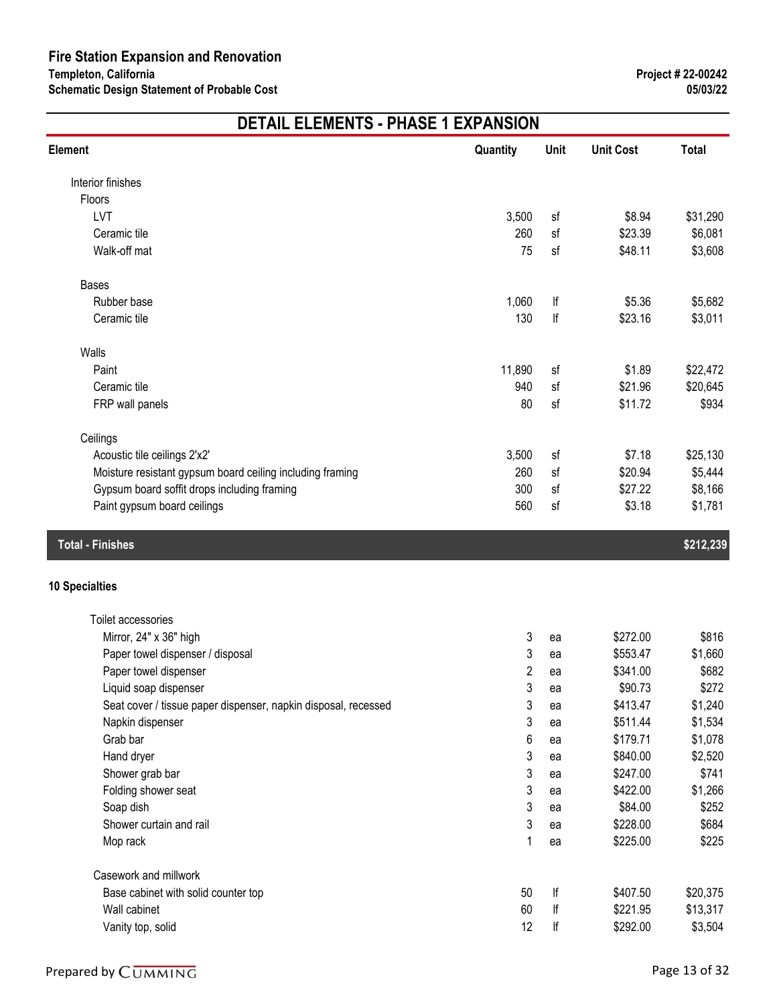| Element                                                        | Quantity       | Unit | <b>Unit Cost</b> | <b>Total</b> |
|----------------------------------------------------------------|----------------|------|------------------|--------------|
| Interior finishes                                              |                |      |                  |              |
| Floors                                                         |                |      |                  |              |
| LVT                                                            | 3,500          | sf   | \$8.94           | \$31,290     |
| Ceramic tile                                                   | 260            | sf   | \$23.39          | \$6,081      |
| Walk-off mat                                                   | 75             | sf   | \$48.11          | \$3,608      |
| <b>Bases</b>                                                   |                |      |                  |              |
| Rubber base                                                    | 1,060          | lf   | \$5.36           | \$5,682      |
| Ceramic tile                                                   | 130            | lf   | \$23.16          | \$3,011      |
| Walls                                                          |                |      |                  |              |
| Paint                                                          | 11,890         | sf   | \$1.89           | \$22,472     |
| Ceramic tile                                                   | 940            | sf   | \$21.96          | \$20,645     |
| FRP wall panels                                                | 80             | sf   | \$11.72          | \$934        |
| Ceilings                                                       |                |      |                  |              |
| Acoustic tile ceilings 2'x2'                                   | 3,500          | sf   | \$7.18           | \$25,130     |
| Moisture resistant gypsum board ceiling including framing      | 260            | sf   | \$20.94          | \$5,444      |
| Gypsum board soffit drops including framing                    | 300            | sf   | \$27.22          | \$8,166      |
| Paint gypsum board ceilings                                    | 560            | sf   | \$3.18           | \$1,781      |
| <b>Total - Finishes</b>                                        |                |      |                  | \$212,239    |
| <b>10 Specialties</b>                                          |                |      |                  |              |
| Toilet accessories                                             |                |      |                  |              |
| Mirror, 24" x 36" high                                         | 3              | ea   | \$272.00         | \$816        |
| Paper towel dispenser / disposal                               | 3              | ea   | \$553.47         | \$1,660      |
| Paper towel dispenser                                          | $\overline{2}$ | ea   | \$341.00         | \$682        |
| Liquid soap dispenser                                          | 3              | ea   | \$90.73          | \$272        |
| Seat cover / tissue paper dispenser, napkin disposal, recessed | 3              | ea   | \$413.47         | \$1,240      |
| Napkin dispenser                                               | 3              | ea   | \$511.44         | \$1,534      |
| Grab bar                                                       | 6              | ea   | \$179.71         | \$1,078      |
| Hand dryer                                                     | 3              | ea   | \$840.00         | \$2,520      |
| Shower grab bar                                                | 3              | ea   | \$247.00         | \$741        |
| Folding shower seat                                            | 3              | ea   | \$422.00         | \$1,266      |
| Soap dish                                                      | 3              | ea   | \$84.00          | \$252        |
| Shower curtain and rail                                        | 3              | ea   | \$228.00         | \$684        |
| Mop rack                                                       | 1              | ea   | \$225.00         | \$225        |
| Casework and millwork                                          |                |      |                  |              |
| Base cabinet with solid counter top                            | 50             | lf   | \$407.50         | \$20,375     |
| Wall cabinet                                                   | 60             | lf   | \$221.95         | \$13,317     |
| Vanity top, solid                                              | 12             | lf   | \$292.00         | \$3,504      |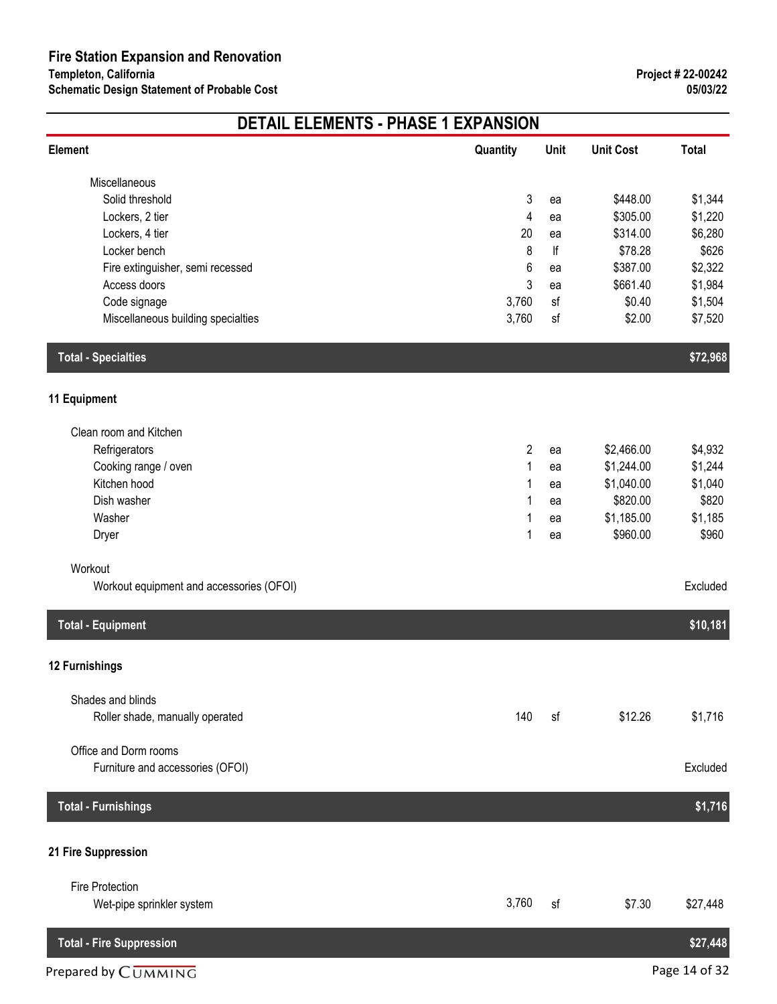| <b>DETAIL ELEMENTS - PHASE 1 EXPANSION</b>          |                |      |                  |              |  |
|-----------------------------------------------------|----------------|------|------------------|--------------|--|
| Element                                             | Quantity       | Unit | <b>Unit Cost</b> | <b>Total</b> |  |
| Miscellaneous                                       |                |      |                  |              |  |
| Solid threshold                                     | 3              | ea   | \$448.00         | \$1,344      |  |
| Lockers, 2 tier                                     | 4              | ea   | \$305.00         | \$1,220      |  |
| Lockers, 4 tier                                     | 20             | ea   | \$314.00         | \$6,280      |  |
| Locker bench                                        | 8              | lf   | \$78.28          | \$626        |  |
| Fire extinguisher, semi recessed                    | 6              | ea   | \$387.00         | \$2,322      |  |
| Access doors                                        | 3              | ea   | \$661.40         | \$1,984      |  |
| Code signage                                        | 3,760          | sf   | \$0.40           | \$1,504      |  |
| Miscellaneous building specialties                  | 3,760          | sf   | \$2.00           | \$7,520      |  |
| <b>Total - Specialties</b>                          |                |      |                  | \$72,968     |  |
| 11 Equipment                                        |                |      |                  |              |  |
| Clean room and Kitchen                              |                |      |                  |              |  |
| Refrigerators                                       | $\overline{2}$ | ea   | \$2,466.00       | \$4,932      |  |
| Cooking range / oven                                | 1              | ea   | \$1,244.00       | \$1,244      |  |
| Kitchen hood                                        | 1              | ea   | \$1,040.00       | \$1,040      |  |
| Dish washer                                         | 1              | ea   | \$820.00         | \$820        |  |
| Washer                                              |                | ea   | \$1,185.00       | \$1,185      |  |
| Dryer                                               | 1              | ea   | \$960.00         | \$960        |  |
| Workout                                             |                |      |                  |              |  |
| Workout equipment and accessories (OFOI)            |                |      |                  | Excluded     |  |
| <b>Total - Equipment</b>                            |                |      |                  | \$10,181     |  |
| 12 Furnishings                                      |                |      |                  |              |  |
| Shades and blinds                                   |                |      |                  |              |  |
| Roller shade, manually operated                     | 140            | sf   | \$12.26          | \$1,716      |  |
| Office and Dorm rooms                               |                |      |                  |              |  |
| Furniture and accessories (OFOI)                    |                |      |                  | Excluded     |  |
| <b>Total - Furnishings</b>                          |                |      |                  | \$1,716      |  |
| 21 Fire Suppression                                 |                |      |                  |              |  |
|                                                     |                |      |                  |              |  |
| <b>Fire Protection</b><br>Wet-pipe sprinkler system | 3,760          | sf   | \$7.30           | \$27,448     |  |
| <b>Total - Fire Suppression</b>                     |                |      |                  | \$27,448     |  |
|                                                     |                |      |                  |              |  |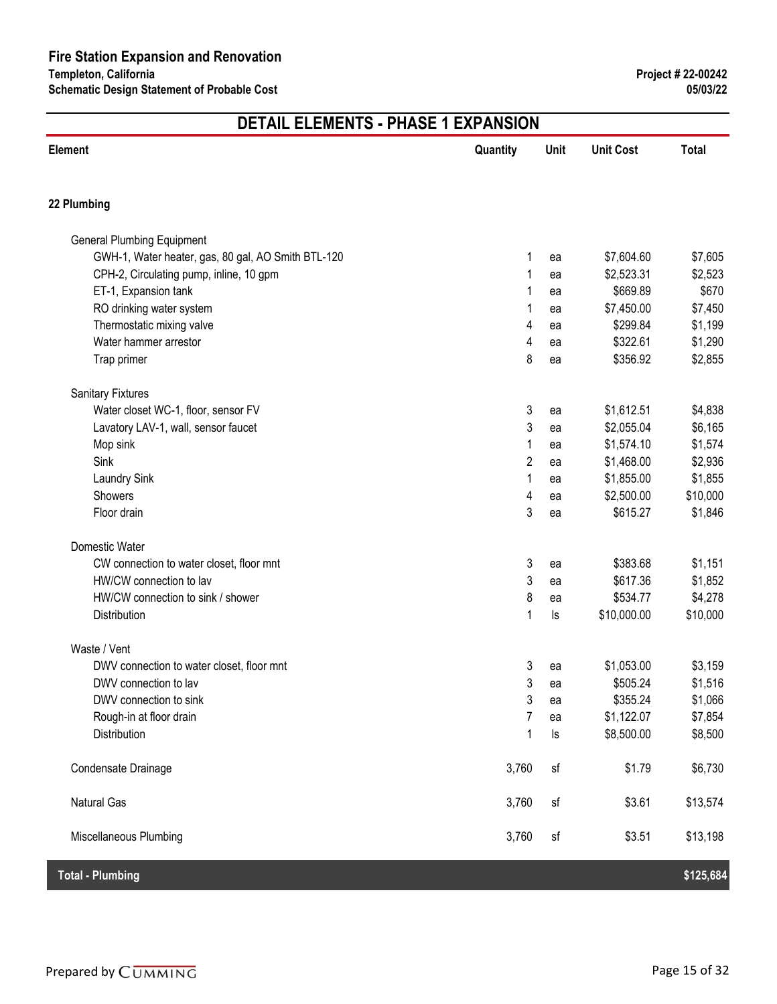| <b>Element</b>                                     | Quantity       | Unit | <b>Unit Cost</b> | <b>Total</b> |
|----------------------------------------------------|----------------|------|------------------|--------------|
| 22 Plumbing                                        |                |      |                  |              |
| <b>General Plumbing Equipment</b>                  |                |      |                  |              |
| GWH-1, Water heater, gas, 80 gal, AO Smith BTL-120 | 1              | ea   | \$7,604.60       | \$7,605      |
| CPH-2, Circulating pump, inline, 10 gpm            | 1              | ea   | \$2,523.31       | \$2,523      |
| ET-1, Expansion tank                               | 1              | ea   | \$669.89         | \$670        |
| RO drinking water system                           | 1              | ea   | \$7,450.00       | \$7,450      |
| Thermostatic mixing valve                          | 4              | ea   | \$299.84         | \$1,199      |
| Water hammer arrestor                              | 4              | ea   | \$322.61         | \$1,290      |
| Trap primer                                        | 8              | ea   | \$356.92         | \$2,855      |
| <b>Sanitary Fixtures</b>                           |                |      |                  |              |
| Water closet WC-1, floor, sensor FV                | 3              | ea   | \$1,612.51       | \$4,838      |
| Lavatory LAV-1, wall, sensor faucet                | 3              | ea   | \$2,055.04       | \$6,165      |
| Mop sink                                           | 1              | ea   | \$1,574.10       | \$1,574      |
| Sink                                               | $\overline{c}$ | ea   | \$1,468.00       | \$2,936      |
| <b>Laundry Sink</b>                                | 1              | ea   | \$1,855.00       | \$1,855      |
| Showers                                            | 4              | ea   | \$2,500.00       | \$10,000     |
| Floor drain                                        | 3              | ea   | \$615.27         | \$1,846      |
| Domestic Water                                     |                |      |                  |              |
| CW connection to water closet, floor mnt           | 3              | ea   | \$383.68         | \$1,151      |
| HW/CW connection to lav                            | 3              | ea   | \$617.36         | \$1,852      |
| HW/CW connection to sink / shower                  | 8              | ea   | \$534.77         | \$4,278      |
| Distribution                                       | 1              | ls   | \$10,000.00      | \$10,000     |
| Waste / Vent                                       |                |      |                  |              |
| DWV connection to water closet, floor mnt          | 3              | ea   | \$1,053.00       | \$3,159      |
| DWV connection to lav                              | 3              | ea   | \$505.24         | \$1,516      |
| DWV connection to sink                             | 3              | ea   | \$355.24         | \$1,066      |
| Rough-in at floor drain                            | $\overline{7}$ | ea   | \$1,122.07       | \$7,854      |
| Distribution                                       | 1              | ls   | \$8,500.00       | \$8,500      |
| Condensate Drainage                                | 3,760          | sf   | \$1.79           | \$6,730      |
| <b>Natural Gas</b>                                 | 3,760          | sf   | \$3.61           | \$13,574     |
| Miscellaneous Plumbing                             | 3,760          | sf   | \$3.51           | \$13,198     |
| <b>Total - Plumbing</b>                            |                |      |                  | \$125,684    |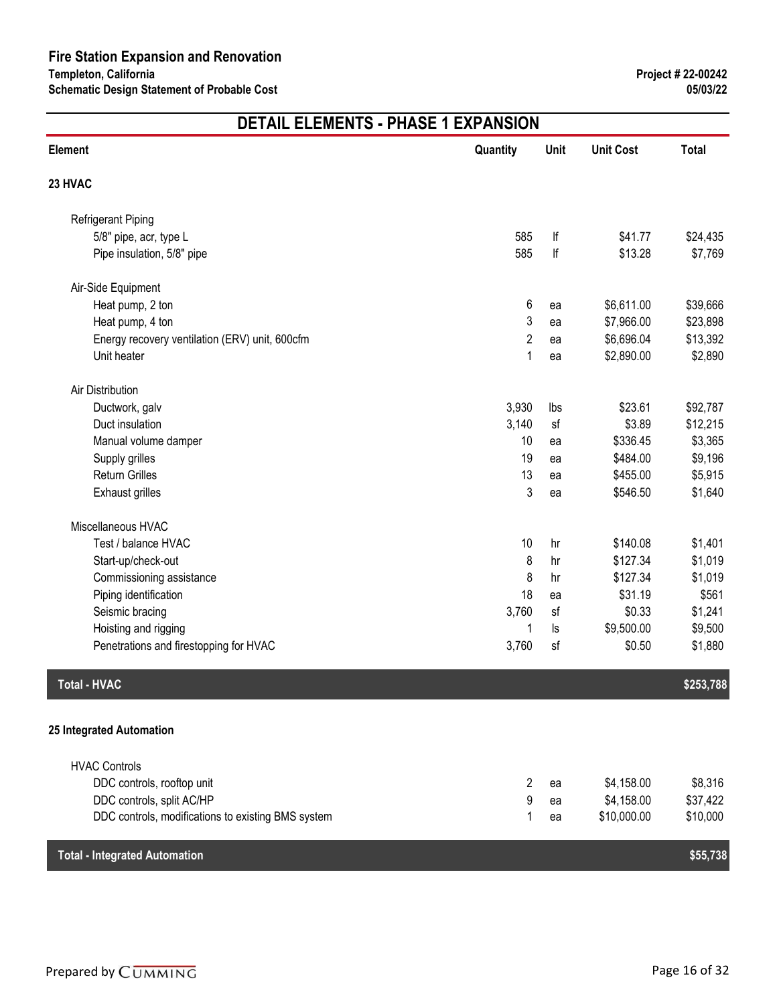| <b>Element</b>                                     | Quantity       | Unit     | <b>Unit Cost</b> | <b>Total</b> |
|----------------------------------------------------|----------------|----------|------------------|--------------|
| 23 HVAC                                            |                |          |                  |              |
| <b>Refrigerant Piping</b>                          |                |          |                  |              |
| 5/8" pipe, acr, type L                             | 585            | lf       | \$41.77          | \$24,435     |
| Pipe insulation, 5/8" pipe                         | 585            | lf       | \$13.28          | \$7,769      |
| Air-Side Equipment                                 |                |          |                  |              |
| Heat pump, 2 ton                                   | 6              | ea       | \$6,611.00       | \$39,666     |
| Heat pump, 4 ton                                   | 3              | ea       | \$7,966.00       | \$23,898     |
| Energy recovery ventilation (ERV) unit, 600cfm     | $\overline{2}$ | ea       | \$6,696.04       | \$13,392     |
| Unit heater                                        | 1              | ea       | \$2,890.00       | \$2,890      |
| Air Distribution                                   |                |          |                  |              |
| Ductwork, galv                                     | 3,930          | Ibs      | \$23.61          | \$92,787     |
| Duct insulation                                    | 3,140          | sf       | \$3.89           | \$12,215     |
| Manual volume damper                               | 10             | ea       | \$336.45         | \$3,365      |
| Supply grilles                                     | 19             | ea       | \$484.00         | \$9,196      |
| <b>Return Grilles</b>                              | 13             | ea       | \$455.00         | \$5,915      |
| <b>Exhaust grilles</b>                             | 3              | ea       | \$546.50         | \$1,640      |
| Miscellaneous HVAC                                 |                |          |                  |              |
| Test / balance HVAC                                | 10             | hr       | \$140.08         | \$1,401      |
| Start-up/check-out                                 | 8              | hr       | \$127.34         | \$1,019      |
| Commissioning assistance                           | 8              | hr       | \$127.34         | \$1,019      |
| Piping identification                              | 18             | ea       | \$31.19          | \$561        |
| Seismic bracing                                    | 3,760          | sf       | \$0.33           | \$1,241      |
| Hoisting and rigging                               | 1              | $\sf ls$ | \$9,500.00       | \$9,500      |
| Penetrations and firestopping for HVAC             | 3,760          | sf       | \$0.50           | \$1,880      |
| <b>Total - HVAC</b>                                |                |          |                  | \$253,788    |
|                                                    |                |          |                  |              |
| 25 Integrated Automation                           |                |          |                  |              |
| <b>HVAC Controls</b>                               |                |          |                  |              |
| DDC controls, rooftop unit                         | $\overline{2}$ | ea       | \$4,158.00       | \$8,316      |
| DDC controls, split AC/HP                          | 9              | ea       | \$4,158.00       | \$37,422     |
| DDC controls, modifications to existing BMS system | 1              | ea       | \$10,000.00      | \$10,000     |
| <b>Total - Integrated Automation</b>               |                |          |                  | \$55,738     |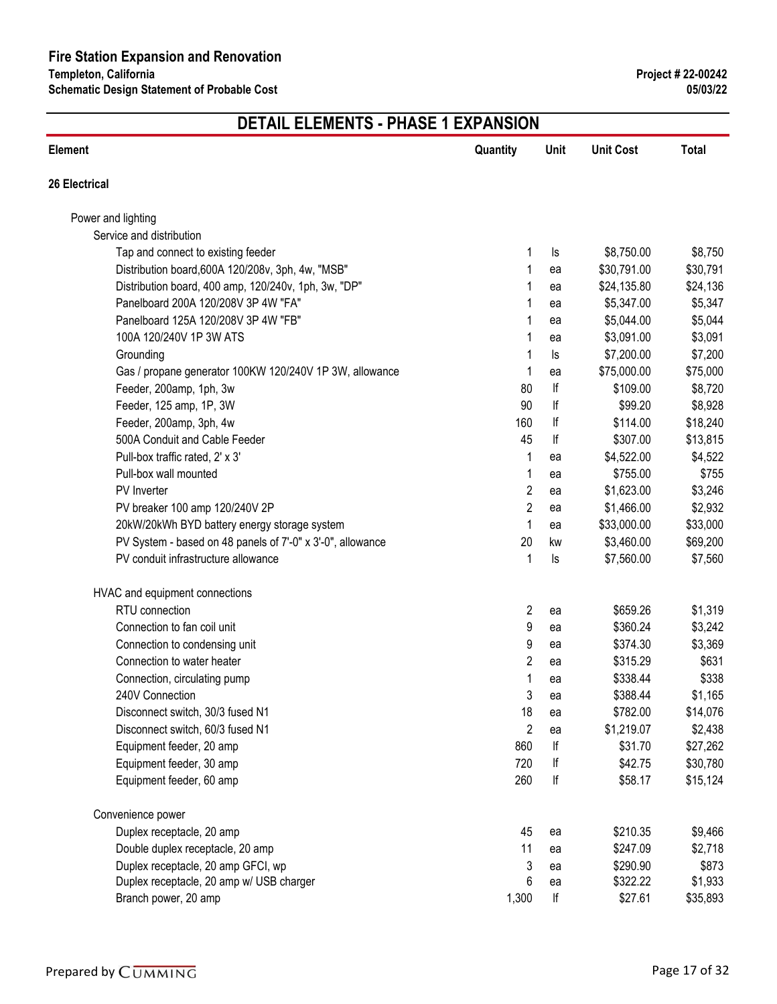| <b>Element</b>                                             | Quantity       | Unit     | <b>Unit Cost</b> | <b>Total</b> |
|------------------------------------------------------------|----------------|----------|------------------|--------------|
| 26 Electrical                                              |                |          |                  |              |
| Power and lighting                                         |                |          |                  |              |
| Service and distribution                                   |                |          |                  |              |
| Tap and connect to existing feeder                         | 1              | ls       | \$8,750.00       | \$8,750      |
| Distribution board, 600A 120/208v, 3ph, 4w, "MSB"          | 1              | ea       | \$30,791.00      | \$30,791     |
| Distribution board, 400 amp, 120/240v, 1ph, 3w, "DP"       | 1              | ea       | \$24,135.80      | \$24,136     |
| Panelboard 200A 120/208V 3P 4W "FA"                        | 1              | ea       | \$5,347.00       | \$5,347      |
| Panelboard 125A 120/208V 3P 4W "FB"                        | 1              | ea       | \$5,044.00       | \$5,044      |
| 100A 120/240V 1P 3W ATS                                    | 1              | ea       | \$3,091.00       | \$3,091      |
| Grounding                                                  | 1              | ls       | \$7,200.00       | \$7,200      |
| Gas / propane generator 100KW 120/240V 1P 3W, allowance    | 1              | ea       | \$75,000.00      | \$75,000     |
| Feeder, 200amp, 1ph, 3w                                    | 80             | lf       | \$109.00         | \$8,720      |
| Feeder, 125 amp, 1P, 3W                                    | 90             | lf       | \$99.20          | \$8,928      |
| Feeder, 200amp, 3ph, 4w                                    | 160            | lf       | \$114.00         | \$18,240     |
| 500A Conduit and Cable Feeder                              | 45             | lf       | \$307.00         | \$13,815     |
| Pull-box traffic rated, 2' x 3'                            | 1              | ea       | \$4,522.00       | \$4,522      |
| Pull-box wall mounted                                      | 1              | ea       | \$755.00         | \$755        |
| PV Inverter                                                | $\overline{c}$ | ea       | \$1,623.00       | \$3,246      |
| PV breaker 100 amp 120/240V 2P                             | $\overline{c}$ | ea       | \$1,466.00       | \$2,932      |
| 20kW/20kWh BYD battery energy storage system               | 1              | ea       | \$33,000.00      | \$33,000     |
| PV System - based on 48 panels of 7'-0" x 3'-0", allowance | 20             | kw       | \$3,460.00       | \$69,200     |
| PV conduit infrastructure allowance                        | 1              | $\sf ls$ | \$7,560.00       | \$7,560      |
| HVAC and equipment connections                             |                |          |                  |              |
| RTU connection                                             | $\overline{2}$ | ea       | \$659.26         | \$1,319      |
| Connection to fan coil unit                                | 9              | ea       | \$360.24         | \$3,242      |
| Connection to condensing unit                              | 9              | ea       | \$374.30         | \$3,369      |
| Connection to water heater                                 | 2              | ea       | \$315.29         | \$631        |
| Connection, circulating pump                               | 1              | ea       | \$338.44         | \$338        |
| 240V Connection                                            | 3              | ea       | \$388.44         | \$1,165      |
| Disconnect switch, 30/3 fused N1                           | 18             | ea       | \$782.00         | \$14,076     |
| Disconnect switch, 60/3 fused N1                           | $\overline{2}$ | ea       | \$1,219.07       | \$2,438      |
| Equipment feeder, 20 amp                                   | 860            | lf       | \$31.70          | \$27,262     |
| Equipment feeder, 30 amp                                   | 720            | lf       | \$42.75          | \$30,780     |
| Equipment feeder, 60 amp                                   | 260            | lf       | \$58.17          | \$15,124     |
| Convenience power                                          |                |          |                  |              |
| Duplex receptacle, 20 amp                                  | 45             | ea       | \$210.35         | \$9,466      |
| Double duplex receptacle, 20 amp                           | 11             | ea       | \$247.09         | \$2,718      |
| Duplex receptacle, 20 amp GFCI, wp                         | 3              | ea       | \$290.90         | \$873        |
| Duplex receptacle, 20 amp w/ USB charger                   | 6              | ea       | \$322.22         | \$1,933      |
| Branch power, 20 amp                                       | 1,300          | lf       | \$27.61          | \$35,893     |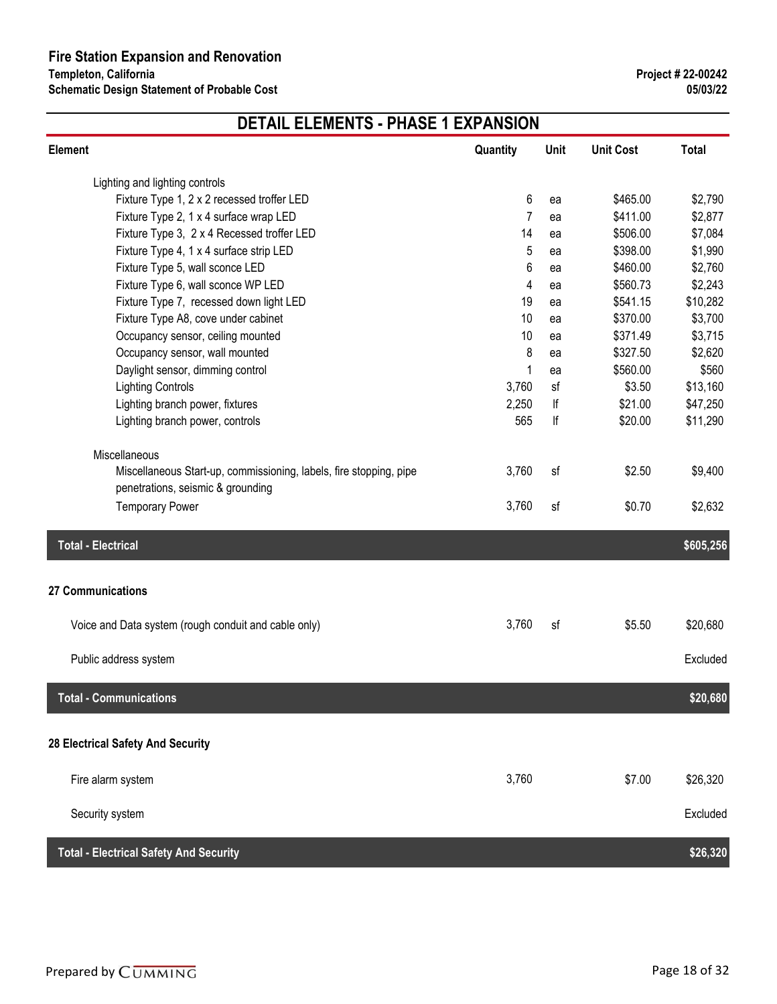| Element                                                            | Quantity | Unit | <b>Unit Cost</b> | <b>Total</b> |
|--------------------------------------------------------------------|----------|------|------------------|--------------|
| Lighting and lighting controls                                     |          |      |                  |              |
| Fixture Type 1, 2 x 2 recessed troffer LED                         | 6        | ea   | \$465.00         | \$2,790      |
| Fixture Type 2, 1 x 4 surface wrap LED                             | 7        | ea   | \$411.00         | \$2,877      |
| Fixture Type 3, 2 x 4 Recessed troffer LED                         | 14       | ea   | \$506.00         | \$7,084      |
| Fixture Type 4, 1 x 4 surface strip LED                            | 5        | ea   | \$398.00         | \$1,990      |
| Fixture Type 5, wall sconce LED                                    | 6        | ea   | \$460.00         | \$2,760      |
| Fixture Type 6, wall sconce WP LED                                 | 4        | ea   | \$560.73         | \$2,243      |
| Fixture Type 7, recessed down light LED                            | 19       | ea   | \$541.15         | \$10,282     |
| Fixture Type A8, cove under cabinet                                | 10       | ea   | \$370.00         | \$3,700      |
| Occupancy sensor, ceiling mounted                                  | 10       | ea   | \$371.49         | \$3,715      |
| Occupancy sensor, wall mounted                                     | 8        | ea   | \$327.50         | \$2,620      |
| Daylight sensor, dimming control                                   | 1        | ea   | \$560.00         | \$560        |
| <b>Lighting Controls</b>                                           | 3,760    | sf   | \$3.50           | \$13,160     |
| Lighting branch power, fixtures                                    | 2,250    | lf   | \$21.00          | \$47,250     |
| Lighting branch power, controls                                    | 565      | lf   | \$20.00          | \$11,290     |
| Miscellaneous                                                      |          |      |                  |              |
| Miscellaneous Start-up, commissioning, labels, fire stopping, pipe | 3,760    | sf   | \$2.50           | \$9,400      |
| penetrations, seismic & grounding                                  |          |      |                  |              |
| <b>Temporary Power</b>                                             | 3,760    | sf   | \$0.70           | \$2,632      |
| <b>Total - Electrical</b>                                          |          |      |                  | \$605,256    |
| 27 Communications                                                  |          |      |                  |              |
|                                                                    |          |      |                  |              |
| Voice and Data system (rough conduit and cable only)               | 3,760    | sf   | \$5.50           | \$20,680     |
| Public address system                                              |          |      |                  | Excluded     |
|                                                                    |          |      |                  |              |
| <b>Total - Communications</b>                                      |          |      |                  | \$20,680     |
| 28 Electrical Safety And Security                                  |          |      |                  |              |
|                                                                    |          |      |                  |              |
| Fire alarm system                                                  | 3,760    |      | \$7.00           | \$26,320     |
| Security system                                                    |          |      |                  | Excluded     |
| <b>Total - Electrical Safety And Security</b>                      |          |      |                  | \$26,320     |
|                                                                    |          |      |                  |              |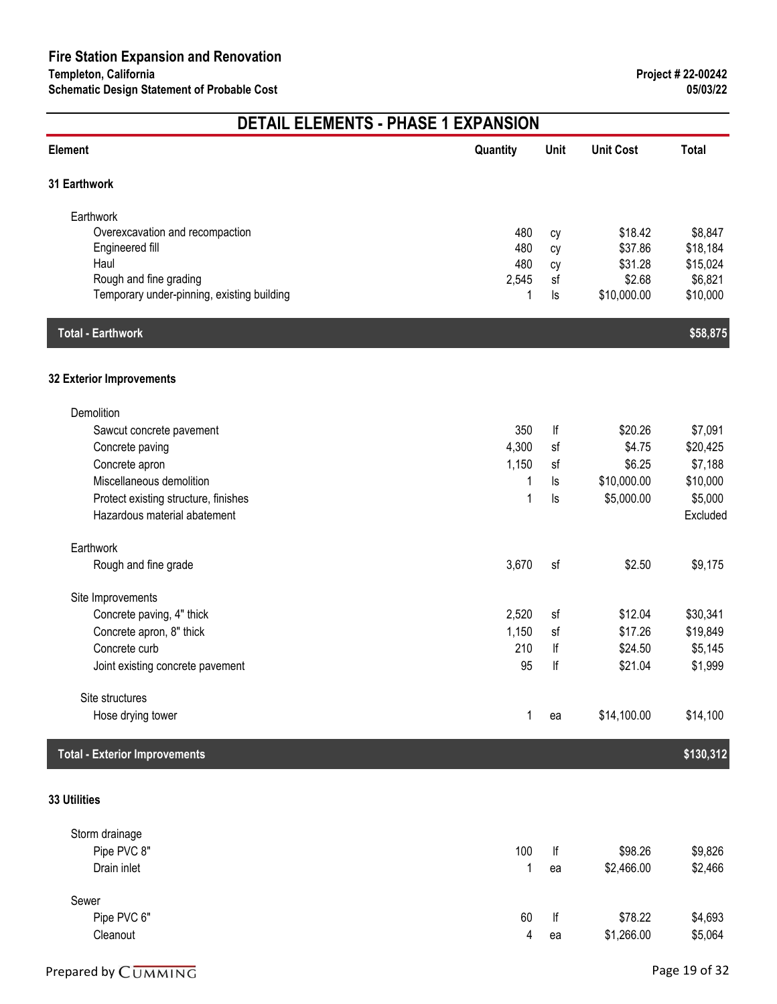| <b>Element</b>                             | Quantity | Unit     | <b>Unit Cost</b> | <b>Total</b> |
|--------------------------------------------|----------|----------|------------------|--------------|
| 31 Earthwork                               |          |          |                  |              |
| Earthwork                                  |          |          |                  |              |
| Overexcavation and recompaction            | 480      | cy       | \$18.42          | \$8,847      |
| Engineered fill                            | 480      | cy       | \$37.86          | \$18,184     |
| Haul                                       | 480      | cy       | \$31.28          | \$15,024     |
| Rough and fine grading                     | 2,545    | sf       | \$2.68           | \$6,821      |
| Temporary under-pinning, existing building | 1        | ls       | \$10,000.00      | \$10,000     |
| <b>Total - Earthwork</b>                   |          |          |                  | \$58,875     |
| 32 Exterior Improvements                   |          |          |                  |              |
| Demolition                                 |          |          |                  |              |
| Sawcut concrete pavement                   | 350      | lf       | \$20.26          | \$7,091      |
| Concrete paving                            | 4,300    | sf       | \$4.75           | \$20,425     |
| Concrete apron                             | 1,150    | sf       | \$6.25           | \$7,188      |
| Miscellaneous demolition                   | 1        | ls       | \$10,000.00      | \$10,000     |
| Protect existing structure, finishes       | 1        | $\sf ls$ | \$5,000.00       | \$5,000      |
| Hazardous material abatement               |          |          |                  | Excluded     |
| Earthwork                                  |          |          |                  |              |
| Rough and fine grade                       | 3,670    | sf       | \$2.50           | \$9,175      |
| Site Improvements                          |          |          |                  |              |
| Concrete paving, 4" thick                  | 2,520    | sf       | \$12.04          | \$30,341     |
| Concrete apron, 8" thick                   | 1,150    | sf       | \$17.26          | \$19,849     |
| Concrete curb                              | 210      | lf       | \$24.50          | \$5,145      |
| Joint existing concrete pavement           | 95       | lf       | \$21.04          | \$1,999      |
| Site structures                            |          |          |                  |              |
| Hose drying tower                          | 1        | ea       | \$14,100.00      | \$14,100     |
| <b>Total - Exterior Improvements</b>       |          |          |                  | \$130,312    |
|                                            |          |          |                  |              |
| 33 Utilities                               |          |          |                  |              |

| Storm drainage |     |    |            |         |
|----------------|-----|----|------------|---------|
| Pipe PVC 8"    | 100 | lf | \$98.26    | \$9,826 |
| Drain inlet    |     | ea | \$2,466.00 | \$2,466 |
| Sewer          |     |    |            |         |
| Pipe PVC 6"    | 60  | lf | \$78.22    | \$4,693 |
| Cleanout       | 4   | ea | \$1,266.00 | \$5,064 |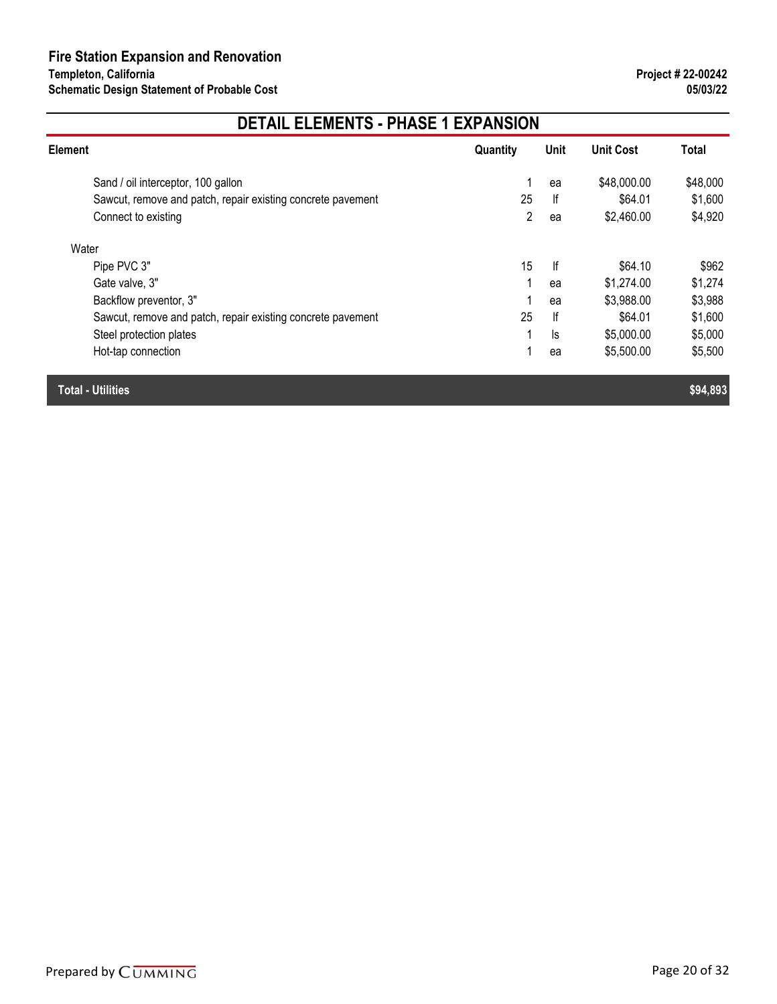| <b>Element</b>                                              | Quantity | Unit | <b>Unit Cost</b> | Total    |
|-------------------------------------------------------------|----------|------|------------------|----------|
| Sand / oil interceptor, 100 gallon                          |          | ea   | \$48,000.00      | \$48,000 |
| Sawcut, remove and patch, repair existing concrete pavement | 25       | lf   | \$64.01          | \$1,600  |
| Connect to existing                                         | 2        | ea   | \$2,460.00       | \$4,920  |
| Water                                                       |          |      |                  |          |
| Pipe PVC 3"                                                 | 15       | lf   | \$64.10          | \$962    |
| Gate valve, 3"                                              | 1        | ea   | \$1,274.00       | \$1,274  |
| Backflow preventor, 3"                                      |          | ea   | \$3,988.00       | \$3,988  |
| Sawcut, remove and patch, repair existing concrete pavement | 25       | lf   | \$64.01          | \$1,600  |
| Steel protection plates                                     |          | ls   | \$5,000.00       | \$5,000  |
| Hot-tap connection                                          |          | ea   | \$5,500.00       | \$5,500  |
| <b>Total - Utilities</b>                                    |          |      |                  | \$94,893 |

Prepared by  $\overline{C}\overline{UMMING}$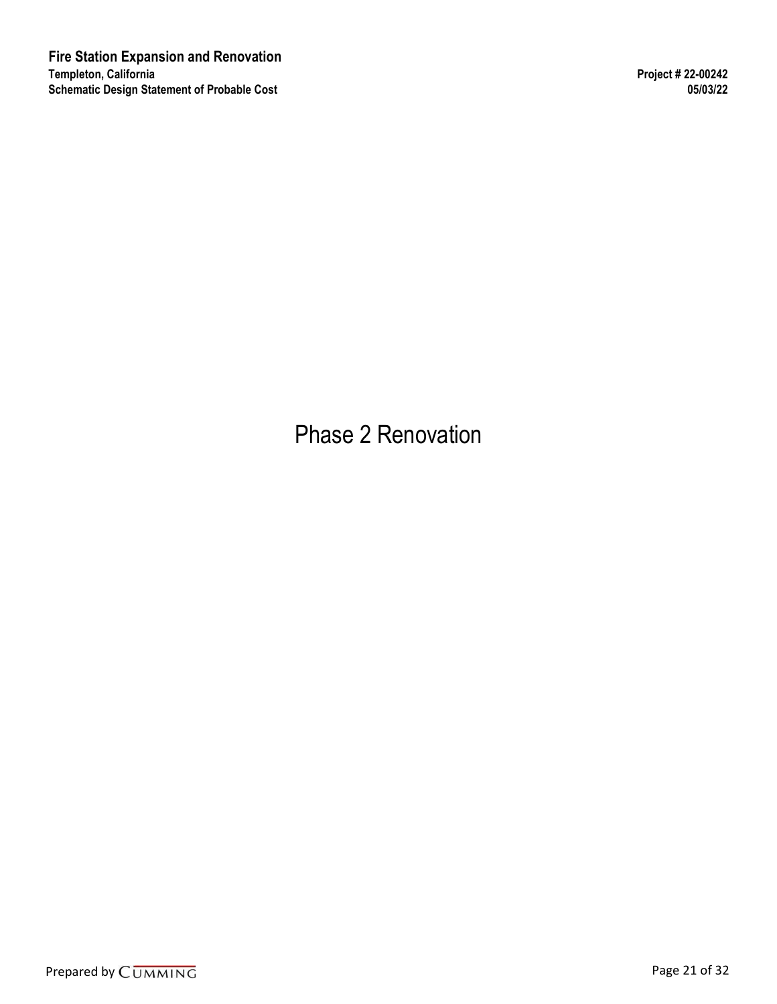Phase 2 Renovation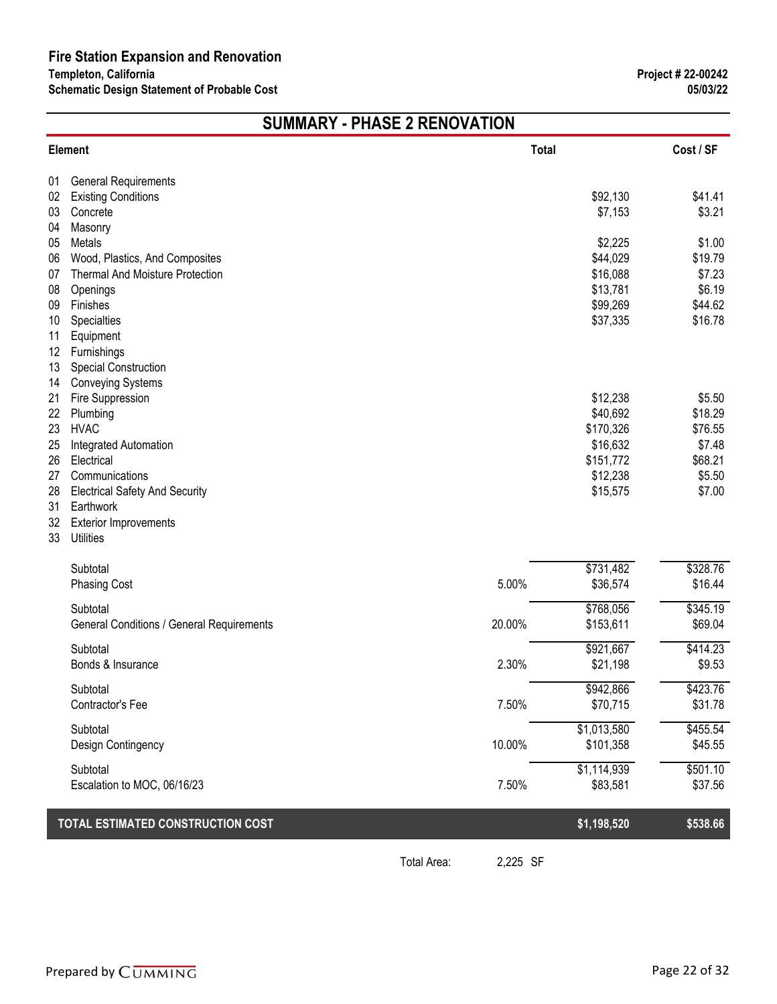# **SUMMARY - PHASE 2 RENOVATION**

|        | \$92,130  | \$41.41                                                                                                                                                                                      |
|--------|-----------|----------------------------------------------------------------------------------------------------------------------------------------------------------------------------------------------|
|        | \$7,153   | \$3.21                                                                                                                                                                                       |
|        |           |                                                                                                                                                                                              |
|        |           | \$1.00                                                                                                                                                                                       |
|        |           | \$19.79                                                                                                                                                                                      |
|        |           | \$7.23                                                                                                                                                                                       |
|        |           | \$6.19<br>\$44.62                                                                                                                                                                            |
|        |           | \$16.78                                                                                                                                                                                      |
|        |           |                                                                                                                                                                                              |
|        |           |                                                                                                                                                                                              |
|        |           |                                                                                                                                                                                              |
|        |           |                                                                                                                                                                                              |
|        | \$12,238  | \$5.50                                                                                                                                                                                       |
|        | \$40,692  | \$18.29                                                                                                                                                                                      |
|        | \$170,326 | \$76.55                                                                                                                                                                                      |
|        | \$16,632  | \$7.48                                                                                                                                                                                       |
|        |           | \$68.21                                                                                                                                                                                      |
|        |           | \$5.50                                                                                                                                                                                       |
|        |           | \$7.00                                                                                                                                                                                       |
|        |           |                                                                                                                                                                                              |
|        |           |                                                                                                                                                                                              |
|        |           |                                                                                                                                                                                              |
|        | \$731,482 | \$328.76                                                                                                                                                                                     |
| 5.00%  | \$36,574  | \$16.44                                                                                                                                                                                      |
|        |           | \$345.19                                                                                                                                                                                     |
| 20.00% | \$153,611 | \$69.04                                                                                                                                                                                      |
|        |           | \$414.23                                                                                                                                                                                     |
| 2.30%  | \$21,198  | \$9.53                                                                                                                                                                                       |
|        |           | \$423.76                                                                                                                                                                                     |
| 7.50%  | \$70,715  | \$31.78                                                                                                                                                                                      |
|        |           | \$455.54                                                                                                                                                                                     |
| 10.00% | \$101,358 | \$45.55                                                                                                                                                                                      |
|        |           | \$501.10                                                                                                                                                                                     |
| 7.50%  | \$83,581  | \$37.56                                                                                                                                                                                      |
|        |           | \$538.66                                                                                                                                                                                     |
|        |           | \$2,225<br>\$44,029<br>\$16,088<br>\$13,781<br>\$99,269<br>\$37,335<br>\$151,772<br>\$12,238<br>\$15,575<br>\$768,056<br>\$921,667<br>\$942,866<br>\$1,013,580<br>\$1,114,939<br>\$1,198,520 |

Total Area: 2,225 SF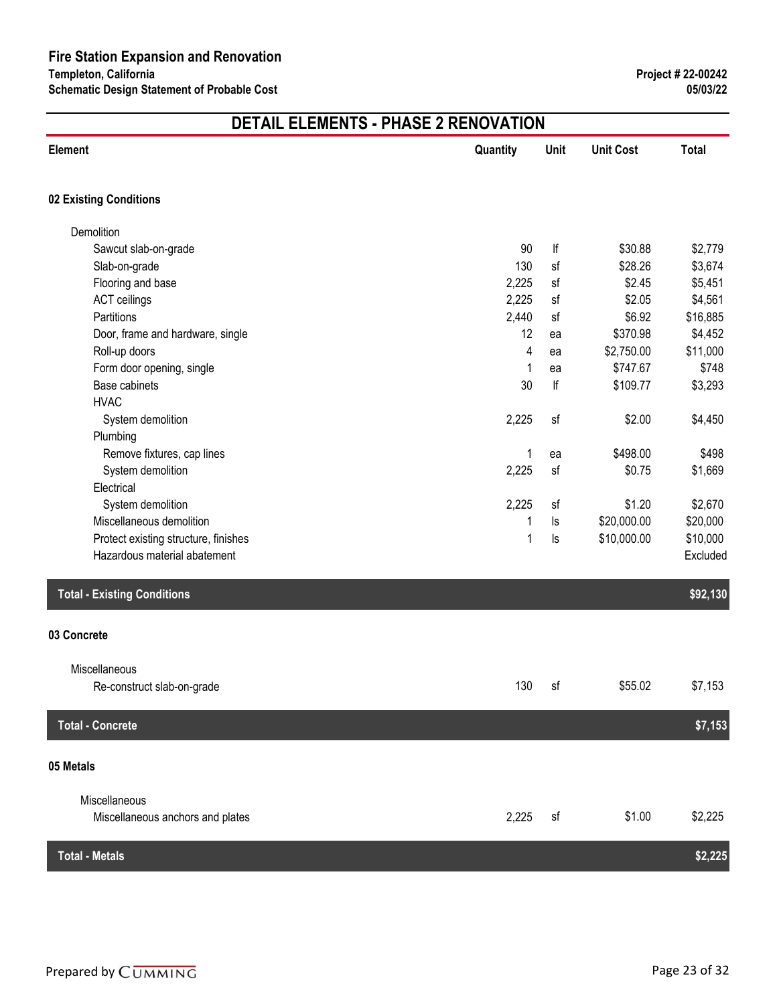| <b>Element</b>                                    | Quantity | Unit | <b>Unit Cost</b> | <b>Total</b> |
|---------------------------------------------------|----------|------|------------------|--------------|
| 02 Existing Conditions                            |          |      |                  |              |
| Demolition                                        |          |      |                  |              |
| Sawcut slab-on-grade                              | 90       | lf   | \$30.88          | \$2,779      |
| Slab-on-grade                                     | 130      | sf   | \$28.26          | \$3,674      |
| Flooring and base                                 | 2,225    | sf   | \$2.45           | \$5,451      |
| <b>ACT</b> ceilings                               | 2,225    | sf   | \$2.05           | \$4,561      |
| Partitions                                        | 2,440    | sf   | \$6.92           | \$16,885     |
| Door, frame and hardware, single                  | 12       | ea   | \$370.98         | \$4,452      |
| Roll-up doors                                     | 4        | ea   | \$2,750.00       | \$11,000     |
| Form door opening, single                         | 1        | ea   | \$747.67         | \$748        |
| Base cabinets                                     | 30       | lf   | \$109.77         | \$3,293      |
| <b>HVAC</b>                                       |          |      |                  |              |
| System demolition                                 | 2,225    | sf   | \$2.00           | \$4,450      |
| Plumbing                                          |          |      |                  |              |
| Remove fixtures, cap lines                        | 1        | ea   | \$498.00         | \$498        |
| System demolition                                 | 2,225    | sf   | \$0.75           | \$1,669      |
| Electrical                                        |          |      |                  |              |
| System demolition                                 | 2,225    | sf   | \$1.20           | \$2,670      |
| Miscellaneous demolition                          | 1        | ls   | \$20,000.00      | \$20,000     |
| Protect existing structure, finishes              | 1        | ls   | \$10,000.00      | \$10,000     |
| Hazardous material abatement                      |          |      |                  | Excluded     |
| <b>Total - Existing Conditions</b>                |          |      |                  | \$92,130     |
| 03 Concrete                                       |          |      |                  |              |
| Miscellaneous                                     |          |      |                  |              |
| Re-construct slab-on-grade                        | 130      | sf   | \$55.02          | \$7,153      |
| <b>Total - Concrete</b>                           |          |      |                  | \$7,153      |
| 05 Metals                                         |          |      |                  |              |
|                                                   |          |      |                  |              |
| Miscellaneous<br>Miscellaneous anchors and plates | 2,225    | sf   | \$1.00           | \$2,225      |
| <b>Total - Metals</b>                             |          |      |                  | \$2,225      |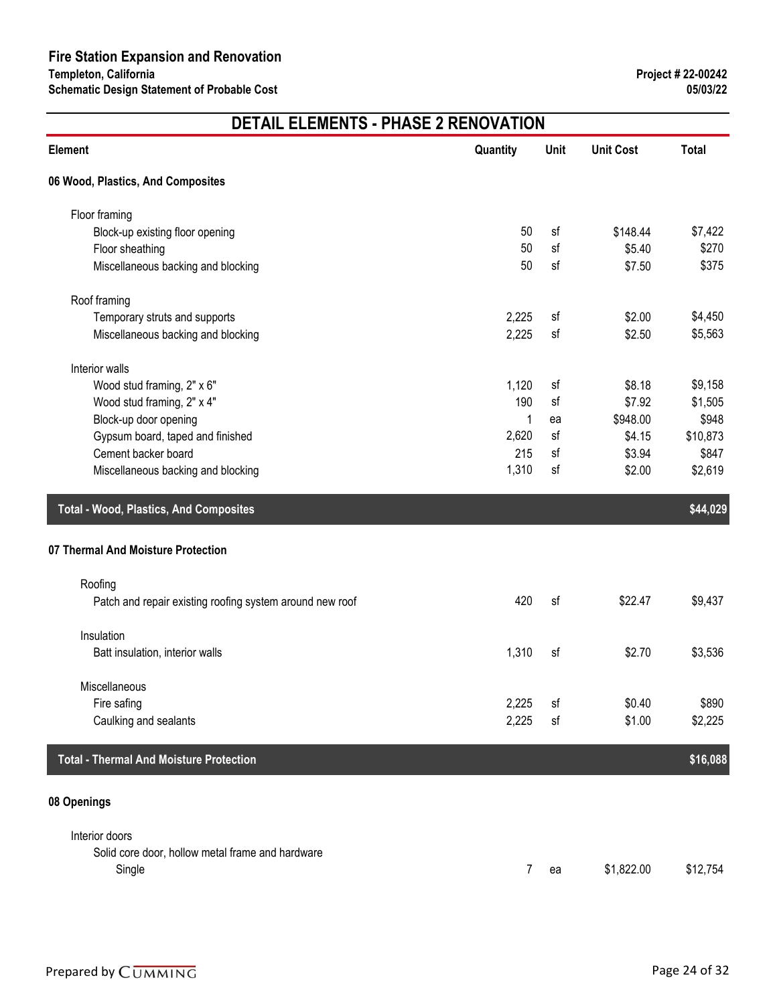| Element                                                  | Quantity | Unit | <b>Unit Cost</b> | <b>Total</b> |
|----------------------------------------------------------|----------|------|------------------|--------------|
| 06 Wood, Plastics, And Composites                        |          |      |                  |              |
| Floor framing                                            |          |      |                  |              |
| Block-up existing floor opening                          | 50       | sf   | \$148.44         | \$7,422      |
| Floor sheathing                                          | 50       | sf   | \$5.40           | \$270        |
| Miscellaneous backing and blocking                       | 50       | sf   | \$7.50           | \$375        |
| Roof framing                                             |          |      |                  |              |
| Temporary struts and supports                            | 2,225    | sf   | \$2.00           | \$4,450      |
| Miscellaneous backing and blocking                       | 2,225    | sf   | \$2.50           | \$5,563      |
| Interior walls                                           |          |      |                  |              |
| Wood stud framing, 2" x 6"                               | 1,120    | sf   | \$8.18           | \$9,158      |
| Wood stud framing, 2" x 4"                               | 190      | sf   | \$7.92           | \$1,505      |
| Block-up door opening                                    | 1        | ea   | \$948.00         | \$948        |
| Gypsum board, taped and finished                         | 2,620    | sf   | \$4.15           | \$10,873     |
| Cement backer board                                      | 215      | sf   | \$3.94           | \$847        |
| Miscellaneous backing and blocking                       | 1,310    | sf   | \$2.00           | \$2,619      |
| <b>Total - Wood, Plastics, And Composites</b>            |          |      |                  | \$44,029     |
| 07 Thermal And Moisture Protection                       |          |      |                  |              |
| Roofing                                                  |          |      |                  |              |
| Patch and repair existing roofing system around new roof | 420      | sf   | \$22.47          | \$9,437      |
| Insulation                                               |          |      |                  |              |
| Batt insulation, interior walls                          | 1,310    | sf   | \$2.70           | \$3,536      |
|                                                          |          |      |                  |              |
| Miscellaneous                                            |          |      |                  |              |
| Fire safing                                              | 2,225    | sf   | \$0.40           | \$890        |
| Caulking and sealants                                    | 2,225    | sf   | \$1.00           | \$2,225      |
| <b>Total - Thermal And Moisture Protection</b>           |          |      |                  | \$16,088     |
| 08 Openings                                              |          |      |                  |              |
|                                                          |          |      |                  |              |
| Interior doors                                           |          |      |                  |              |
| Solid core door, hollow metal frame and hardware         |          |      |                  |              |
| Single                                                   | 7        | ea   | \$1,822.00       | \$12,754     |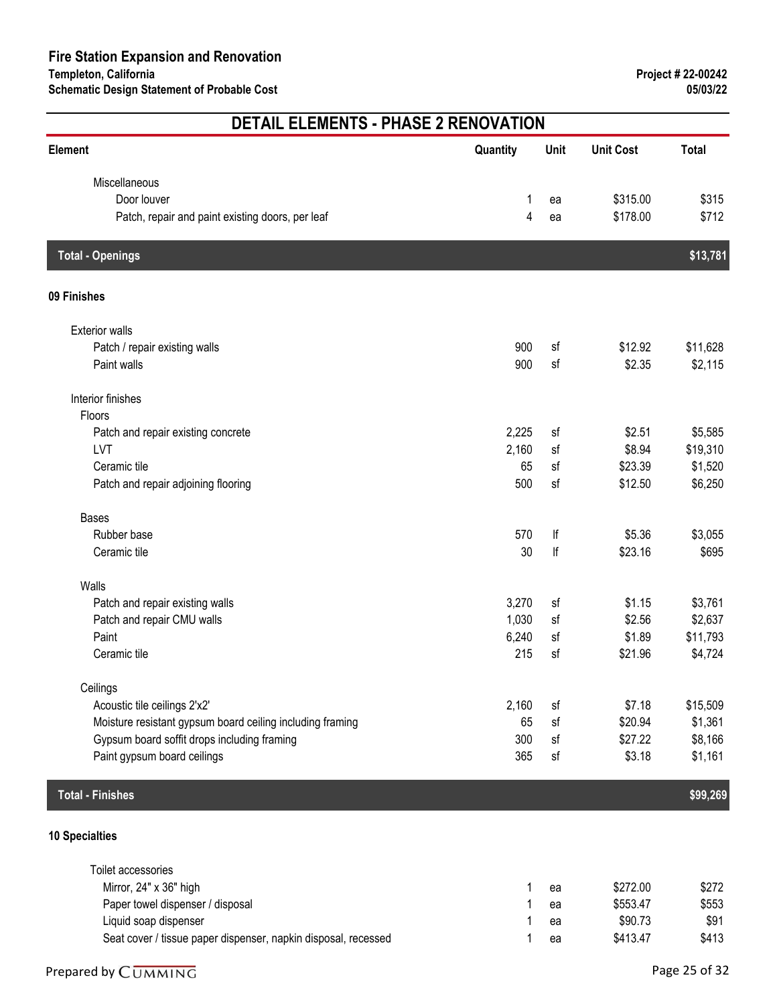# **Element Quantity Unit Unit Cost Total DETAIL ELEMENTS - PHASE 2 RENOVATION** Miscellaneous Door louver 1 ea \$315.00 \$315 Patch, repair and paint existing doors, per leaf 4 ea \$178.00 \$712 **Total - Openings \$13,781 09 Finishes** Exterior walls Patch / repair existing walls **\$11,628** \$11,628 Paint walls \$2,115 \$2,115 \$2,115 \$2,115 \$2,115 \$2,115 \$2,115 \$2,115 \$2,115 \$2,115 Interior finishes Floors Patch and repair existing concrete **2,225** sf \$2.51 \$5,585  $\blacksquare$ LVT  $\blacksquare$   $\blacksquare$   $\blacksquare$   $\blacksquare$   $\blacksquare$   $\blacksquare$   $\blacksquare$   $\blacksquare$   $\blacksquare$   $\blacksquare$   $\blacksquare$   $\blacksquare$   $\blacksquare$   $\blacksquare$   $\blacksquare$   $\blacksquare$   $\blacksquare$   $\blacksquare$   $\blacksquare$   $\blacksquare$   $\blacksquare$   $\blacksquare$   $\blacksquare$   $\blacksquare$   $\blacksquare$   $\blacksquare$   $\blacksquare$   $\blacksquare$   $\blacksquare$   $\blacksquare$   $\blacksquare$  Ceramic tile  $$1,520$ Patch and repair adjoining flooring 500 sf \$12.50 \$6,250 Bases Rubber base 570 lf \$5.36 \$3,055 Ceramic tile 30 lf \$23.16 \$695 Walls Patch and repair existing walls **3,270** sf \$1.15 \$3,761 Patch and repair CMU walls **1,030** sf \$2.56 \$2,637 Paint 6,240 sf \$1.89 \$11,793 \$1.89 \$1.89 \$1.89 \$1.89 \$1.89 \$1.89 \$1.89 \$1.89 \$1.89 \$1.89 \$1.89 \$1.89 \$1.89 \$1.  $\blacksquare$  Ceramic tile  $$4,724$ **Ceilings** Acoustic tile ceilings 2'x2' 2,160 sf \$7.18 \$15,509 Moisture resistant gypsum board ceiling including framing 65 sf \$20.94 \$1,361 Gypsum board soffit drops including framing 300 sf \$27.22 \$8,166 Paint gypsum board ceilings 365 sf \$3.18 \$1,161 **Total - Finishes \$99,269 10 Specialties** Toilet accessories Mirror, 24" x 36" high 1 ea  $$272.00$   $$272$

| Paper towel dispenser / disposal                               | ea | \$553.47 | \$553 |
|----------------------------------------------------------------|----|----------|-------|
| Liquid soap dispenser                                          | ea | \$90.73  | \$91  |
| Seat cover / tissue paper dispenser, napkin disposal, recessed | ea | \$413.47 | \$413 |

#### Prepared by  $\overline{C}$ UMMING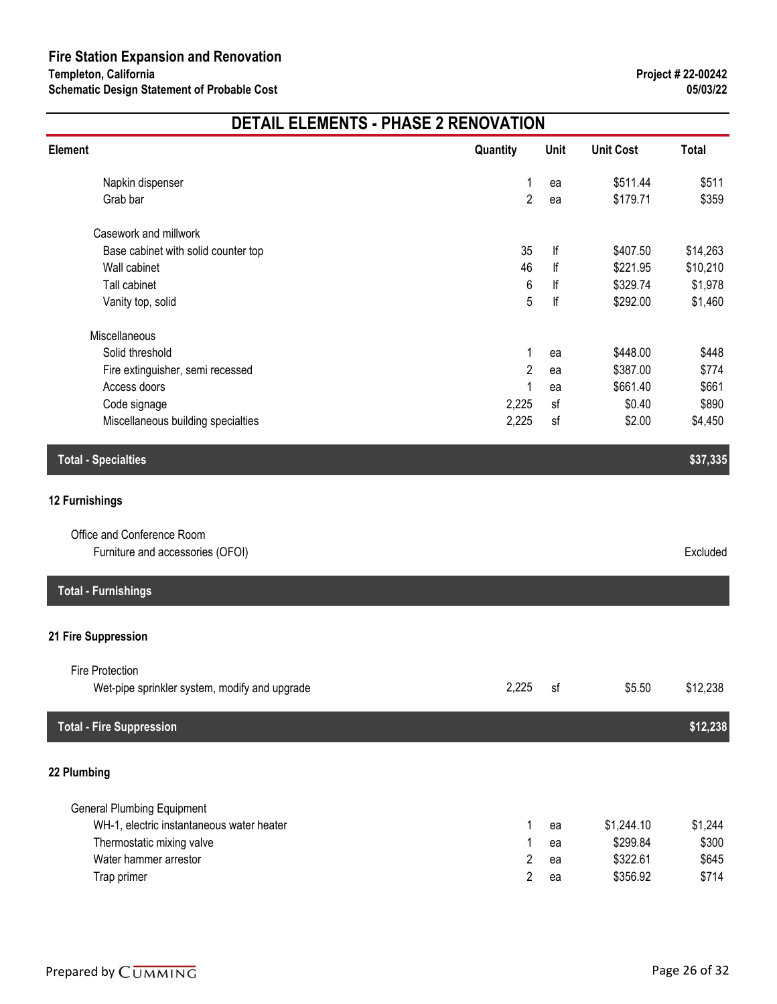| Element                                       | Quantity       | Unit | <b>Unit Cost</b> | <b>Total</b> |
|-----------------------------------------------|----------------|------|------------------|--------------|
| Napkin dispenser                              | 1              | ea   | \$511.44         | \$511        |
| Grab bar                                      | $\overline{2}$ | ea   | \$179.71         | \$359        |
| Casework and millwork                         |                |      |                  |              |
| Base cabinet with solid counter top           | 35             | lf   | \$407.50         | \$14,263     |
| Wall cabinet                                  | 46             | lf   | \$221.95         | \$10,210     |
| Tall cabinet                                  | 6              | lf   | \$329.74         | \$1,978      |
| Vanity top, solid                             | 5              | lf   | \$292.00         | \$1,460      |
| Miscellaneous                                 |                |      |                  |              |
| Solid threshold                               | 1              | ea   | \$448.00         | \$448        |
| Fire extinguisher, semi recessed              | $\overline{c}$ | ea   | \$387.00         | \$774        |
| Access doors                                  | 1              | ea   | \$661.40         | \$661        |
| Code signage                                  | 2,225          | sf   | \$0.40           | \$890        |
| Miscellaneous building specialties            | 2,225          | sf   | \$2.00           | \$4,450      |
| <b>Total - Specialties</b>                    |                |      |                  | \$37,335     |
| 12 Furnishings                                |                |      |                  |              |
| Office and Conference Room                    |                |      |                  |              |
| Furniture and accessories (OFOI)              |                |      |                  | Excluded     |
| <b>Total - Furnishings</b>                    |                |      |                  |              |
| 21 Fire Suppression                           |                |      |                  |              |
| Fire Protection                               |                |      |                  |              |
| Wet-pipe sprinkler system, modify and upgrade | 2,225          | sf   | \$5.50           | \$12,238     |
| <b>Total - Fire Suppression</b>               |                |      |                  | \$12,238     |
| 22 Plumbing                                   |                |      |                  |              |
| <b>General Plumbing Equipment</b>             |                |      |                  |              |
| WH-1, electric instantaneous water heater     | 1              | ea   | \$1,244.10       | \$1,244      |
| Thermostatic mixing valve                     | 1              | ea   | \$299.84         | \$300        |
| Water hammer arrestor                         | $\overline{2}$ | ea   | \$322.61         | \$645        |
| Trap primer                                   | $\overline{2}$ | ea   | \$356.92         | \$714        |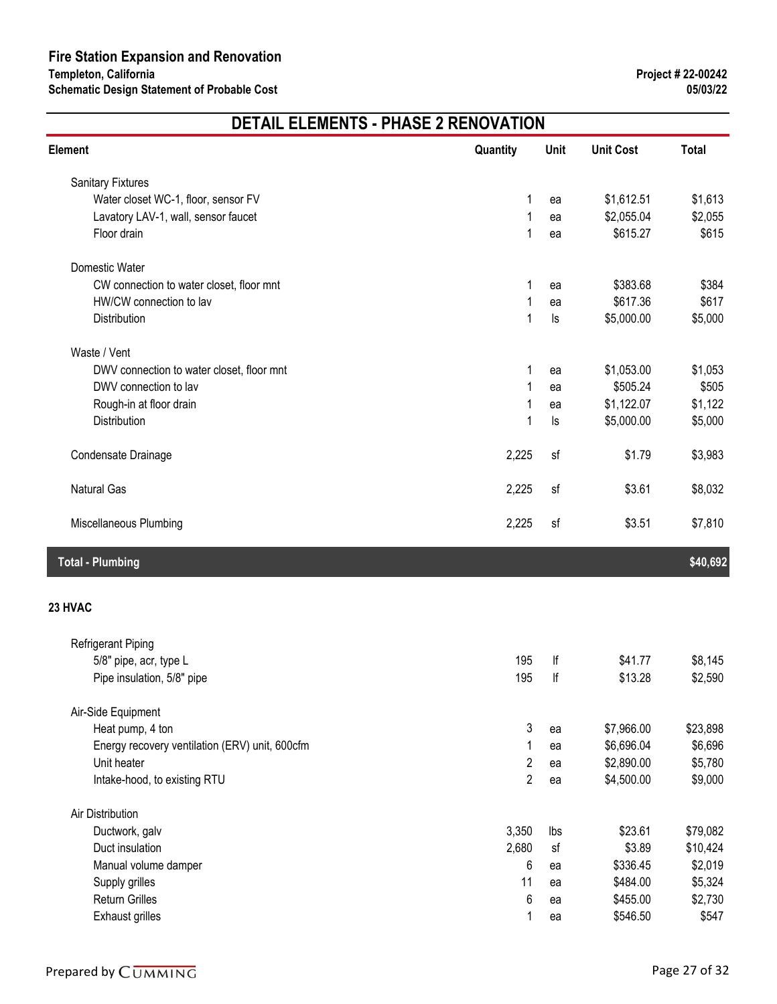| <b>Element</b>                                 | Quantity       | Unit     | <b>Unit Cost</b> | <b>Total</b> |
|------------------------------------------------|----------------|----------|------------------|--------------|
| <b>Sanitary Fixtures</b>                       |                |          |                  |              |
| Water closet WC-1, floor, sensor FV            | 1              | ea       | \$1,612.51       | \$1,613      |
| Lavatory LAV-1, wall, sensor faucet            | 1              | ea       | \$2,055.04       | \$2,055      |
| Floor drain                                    | 1              | ea       | \$615.27         | \$615        |
| Domestic Water                                 |                |          |                  |              |
| CW connection to water closet, floor mnt       | 1              | ea       | \$383.68         | \$384        |
| HW/CW connection to lav                        | 1              | ea       | \$617.36         | \$617        |
| Distribution                                   | 1              | $\sf ls$ | \$5,000.00       | \$5,000      |
| Waste / Vent                                   |                |          |                  |              |
| DWV connection to water closet, floor mnt      | 1              | ea       | \$1,053.00       | \$1,053      |
| DWV connection to lav                          |                | ea       | \$505.24         | \$505        |
| Rough-in at floor drain                        | 1              | ea       | \$1,122.07       | \$1,122      |
| Distribution                                   | 1              | $\sf ls$ | \$5,000.00       | \$5,000      |
| Condensate Drainage                            | 2,225          | sf       | \$1.79           | \$3,983      |
| <b>Natural Gas</b>                             | 2,225          | sf       | \$3.61           | \$8,032      |
| Miscellaneous Plumbing                         | 2,225          | sf       | \$3.51           | \$7,810      |
| <b>Total - Plumbing</b>                        |                |          |                  | \$40,692     |
| 23 HVAC                                        |                |          |                  |              |
| Refrigerant Piping                             |                |          |                  |              |
| 5/8" pipe, acr, type L                         | 195            | lf       | \$41.77          | \$8,145      |
| Pipe insulation, 5/8" pipe                     | 195            | lf       | \$13.28          | \$2,590      |
| Air-Side Equipment                             |                |          |                  |              |
| Heat pump, 4 ton                               | 3              | ea       | \$7,966.00       | \$23,898     |
| Energy recovery ventilation (ERV) unit, 600cfm | 1              | ea       | \$6,696.04       | \$6,696      |
| Unit heater                                    | $\overline{c}$ | ea       | \$2,890.00       | \$5,780      |
| Intake-hood, to existing RTU                   | $\overline{2}$ | ea       | \$4,500.00       | \$9,000      |
| Air Distribution                               |                |          |                  |              |
| Ductwork, galv                                 | 3,350          | lbs      | \$23.61          | \$79,082     |
| Duct insulation                                | 2,680          | sf       | \$3.89           | \$10,424     |
| Manual volume damper                           | 6              | ea       | \$336.45         | \$2,019      |
| Supply grilles                                 | 11             | ea       | \$484.00         | \$5,324      |
| <b>Return Grilles</b>                          | 6              | ea       | \$455.00         | \$2,730      |
| <b>Exhaust grilles</b>                         |                | ea       | \$546.50         | \$547        |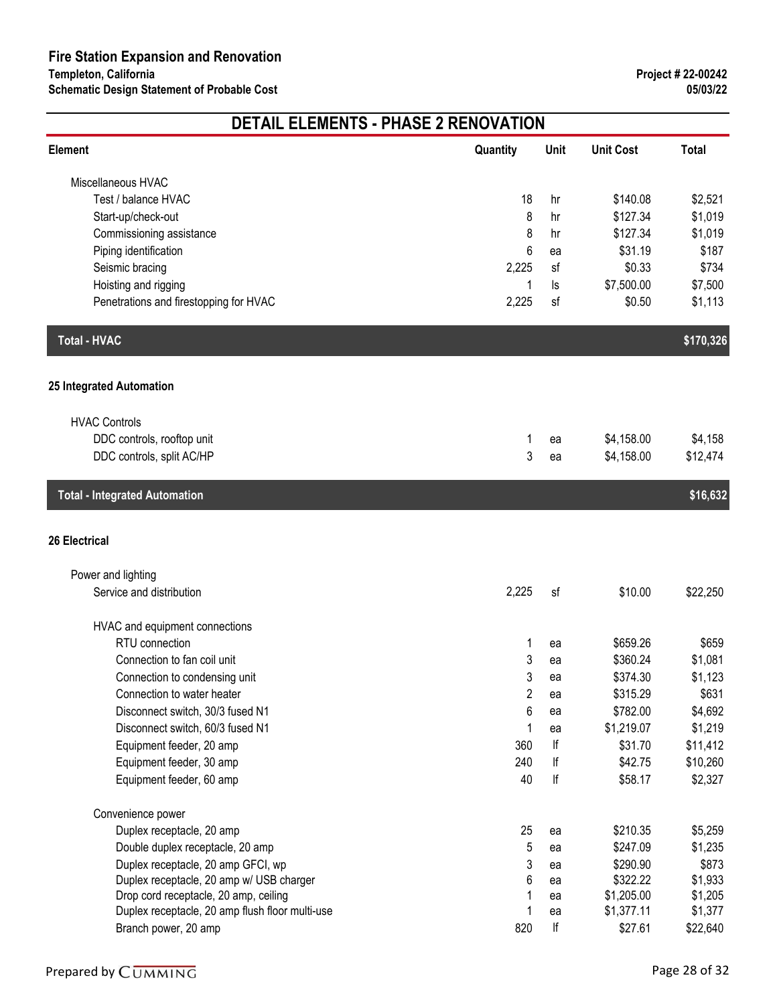| <b>Total</b><br><b>Element</b><br><b>Unit Cost</b><br>Quantity<br>Unit<br>Miscellaneous HVAC<br>\$2,521<br>Test / balance HVAC<br>18<br>\$140.08<br>hr<br>8<br>\$127.34<br>\$1,019<br>Start-up/check-out<br>hr<br>\$127.34<br>Commissioning assistance<br>8<br>\$1,019<br>hr<br>6<br>\$31.19<br>Piping identification<br>\$187<br>ea<br>\$0.33<br>Seismic bracing<br>2,225<br>sf<br>\$734<br>Hoisting and rigging<br>\$7,500.00<br>\$7,500<br>1<br>ls<br>Penetrations and firestopping for HVAC<br>2,225<br>\$0.50<br>\$1,113<br>sf<br><b>Total - HVAC</b><br>\$170,326<br>25 Integrated Automation<br><b>HVAC Controls</b><br>DDC controls, rooftop unit<br>\$4,158.00<br>\$4,158<br>1<br>ea<br>3<br>\$12,474<br>DDC controls, split AC/HP<br>\$4,158.00<br>ea<br><b>Total - Integrated Automation</b><br>\$16,632<br><b>26 Electrical</b><br>Power and lighting<br>2,225<br>Service and distribution<br>\$10.00<br>\$22,250<br>sf<br>HVAC and equipment connections<br>RTU connection<br>\$659.26<br>\$659<br>1<br>ea<br>Connection to fan coil unit<br>\$360.24<br>\$1,081<br>3<br>ea<br>3<br>\$374.30<br>\$1,123<br>Connection to condensing unit<br>ea<br>$\overline{2}$<br>\$315.29<br>\$631<br>Connection to water heater<br>ea<br>6<br>Disconnect switch, 30/3 fused N1<br>\$782.00<br>\$4,692<br>ea<br>Disconnect switch, 60/3 fused N1<br>\$1,219.07<br>\$1,219<br>1<br>ea<br>lf<br>Equipment feeder, 20 amp<br>360<br>\$31.70<br>\$11,412<br>240<br>lf<br>\$42.75<br>Equipment feeder, 30 amp<br>\$10,260<br>Equipment feeder, 60 amp<br>40<br>lf<br>\$2,327<br>\$58.17<br>Convenience power<br>Duplex receptacle, 20 amp<br>25<br>\$210.35<br>\$5,259<br>ea<br>Double duplex receptacle, 20 amp<br>5<br>\$247.09<br>\$1,235<br>ea<br>Duplex receptacle, 20 amp GFCI, wp<br>3<br>\$290.90<br>\$873<br>ea<br>Duplex receptacle, 20 amp w/ USB charger<br>\$322.22<br>\$1,933<br>6<br>ea<br>Drop cord receptacle, 20 amp, ceiling<br>\$1,205.00<br>\$1,205<br>ea<br>Duplex receptacle, 20 amp flush floor multi-use<br>\$1,377.11<br>\$1,377<br>ea<br>lf<br>Branch power, 20 amp<br>820<br>\$27.61<br>\$22,640 | <b>DETAIL ELEMENTS - PHASE 2 RENOVATION</b> |  |  |  |  |
|-------------------------------------------------------------------------------------------------------------------------------------------------------------------------------------------------------------------------------------------------------------------------------------------------------------------------------------------------------------------------------------------------------------------------------------------------------------------------------------------------------------------------------------------------------------------------------------------------------------------------------------------------------------------------------------------------------------------------------------------------------------------------------------------------------------------------------------------------------------------------------------------------------------------------------------------------------------------------------------------------------------------------------------------------------------------------------------------------------------------------------------------------------------------------------------------------------------------------------------------------------------------------------------------------------------------------------------------------------------------------------------------------------------------------------------------------------------------------------------------------------------------------------------------------------------------------------------------------------------------------------------------------------------------------------------------------------------------------------------------------------------------------------------------------------------------------------------------------------------------------------------------------------------------------------------------------------------------------------------------------------------------------------------------------------------------------------------------------------------------------|---------------------------------------------|--|--|--|--|
|                                                                                                                                                                                                                                                                                                                                                                                                                                                                                                                                                                                                                                                                                                                                                                                                                                                                                                                                                                                                                                                                                                                                                                                                                                                                                                                                                                                                                                                                                                                                                                                                                                                                                                                                                                                                                                                                                                                                                                                                                                                                                                                         |                                             |  |  |  |  |
|                                                                                                                                                                                                                                                                                                                                                                                                                                                                                                                                                                                                                                                                                                                                                                                                                                                                                                                                                                                                                                                                                                                                                                                                                                                                                                                                                                                                                                                                                                                                                                                                                                                                                                                                                                                                                                                                                                                                                                                                                                                                                                                         |                                             |  |  |  |  |
|                                                                                                                                                                                                                                                                                                                                                                                                                                                                                                                                                                                                                                                                                                                                                                                                                                                                                                                                                                                                                                                                                                                                                                                                                                                                                                                                                                                                                                                                                                                                                                                                                                                                                                                                                                                                                                                                                                                                                                                                                                                                                                                         |                                             |  |  |  |  |
|                                                                                                                                                                                                                                                                                                                                                                                                                                                                                                                                                                                                                                                                                                                                                                                                                                                                                                                                                                                                                                                                                                                                                                                                                                                                                                                                                                                                                                                                                                                                                                                                                                                                                                                                                                                                                                                                                                                                                                                                                                                                                                                         |                                             |  |  |  |  |
|                                                                                                                                                                                                                                                                                                                                                                                                                                                                                                                                                                                                                                                                                                                                                                                                                                                                                                                                                                                                                                                                                                                                                                                                                                                                                                                                                                                                                                                                                                                                                                                                                                                                                                                                                                                                                                                                                                                                                                                                                                                                                                                         |                                             |  |  |  |  |
|                                                                                                                                                                                                                                                                                                                                                                                                                                                                                                                                                                                                                                                                                                                                                                                                                                                                                                                                                                                                                                                                                                                                                                                                                                                                                                                                                                                                                                                                                                                                                                                                                                                                                                                                                                                                                                                                                                                                                                                                                                                                                                                         |                                             |  |  |  |  |
|                                                                                                                                                                                                                                                                                                                                                                                                                                                                                                                                                                                                                                                                                                                                                                                                                                                                                                                                                                                                                                                                                                                                                                                                                                                                                                                                                                                                                                                                                                                                                                                                                                                                                                                                                                                                                                                                                                                                                                                                                                                                                                                         |                                             |  |  |  |  |
|                                                                                                                                                                                                                                                                                                                                                                                                                                                                                                                                                                                                                                                                                                                                                                                                                                                                                                                                                                                                                                                                                                                                                                                                                                                                                                                                                                                                                                                                                                                                                                                                                                                                                                                                                                                                                                                                                                                                                                                                                                                                                                                         |                                             |  |  |  |  |
|                                                                                                                                                                                                                                                                                                                                                                                                                                                                                                                                                                                                                                                                                                                                                                                                                                                                                                                                                                                                                                                                                                                                                                                                                                                                                                                                                                                                                                                                                                                                                                                                                                                                                                                                                                                                                                                                                                                                                                                                                                                                                                                         |                                             |  |  |  |  |
|                                                                                                                                                                                                                                                                                                                                                                                                                                                                                                                                                                                                                                                                                                                                                                                                                                                                                                                                                                                                                                                                                                                                                                                                                                                                                                                                                                                                                                                                                                                                                                                                                                                                                                                                                                                                                                                                                                                                                                                                                                                                                                                         |                                             |  |  |  |  |
|                                                                                                                                                                                                                                                                                                                                                                                                                                                                                                                                                                                                                                                                                                                                                                                                                                                                                                                                                                                                                                                                                                                                                                                                                                                                                                                                                                                                                                                                                                                                                                                                                                                                                                                                                                                                                                                                                                                                                                                                                                                                                                                         |                                             |  |  |  |  |
|                                                                                                                                                                                                                                                                                                                                                                                                                                                                                                                                                                                                                                                                                                                                                                                                                                                                                                                                                                                                                                                                                                                                                                                                                                                                                                                                                                                                                                                                                                                                                                                                                                                                                                                                                                                                                                                                                                                                                                                                                                                                                                                         |                                             |  |  |  |  |
|                                                                                                                                                                                                                                                                                                                                                                                                                                                                                                                                                                                                                                                                                                                                                                                                                                                                                                                                                                                                                                                                                                                                                                                                                                                                                                                                                                                                                                                                                                                                                                                                                                                                                                                                                                                                                                                                                                                                                                                                                                                                                                                         |                                             |  |  |  |  |
|                                                                                                                                                                                                                                                                                                                                                                                                                                                                                                                                                                                                                                                                                                                                                                                                                                                                                                                                                                                                                                                                                                                                                                                                                                                                                                                                                                                                                                                                                                                                                                                                                                                                                                                                                                                                                                                                                                                                                                                                                                                                                                                         |                                             |  |  |  |  |
|                                                                                                                                                                                                                                                                                                                                                                                                                                                                                                                                                                                                                                                                                                                                                                                                                                                                                                                                                                                                                                                                                                                                                                                                                                                                                                                                                                                                                                                                                                                                                                                                                                                                                                                                                                                                                                                                                                                                                                                                                                                                                                                         |                                             |  |  |  |  |
|                                                                                                                                                                                                                                                                                                                                                                                                                                                                                                                                                                                                                                                                                                                                                                                                                                                                                                                                                                                                                                                                                                                                                                                                                                                                                                                                                                                                                                                                                                                                                                                                                                                                                                                                                                                                                                                                                                                                                                                                                                                                                                                         |                                             |  |  |  |  |
|                                                                                                                                                                                                                                                                                                                                                                                                                                                                                                                                                                                                                                                                                                                                                                                                                                                                                                                                                                                                                                                                                                                                                                                                                                                                                                                                                                                                                                                                                                                                                                                                                                                                                                                                                                                                                                                                                                                                                                                                                                                                                                                         |                                             |  |  |  |  |
|                                                                                                                                                                                                                                                                                                                                                                                                                                                                                                                                                                                                                                                                                                                                                                                                                                                                                                                                                                                                                                                                                                                                                                                                                                                                                                                                                                                                                                                                                                                                                                                                                                                                                                                                                                                                                                                                                                                                                                                                                                                                                                                         |                                             |  |  |  |  |
|                                                                                                                                                                                                                                                                                                                                                                                                                                                                                                                                                                                                                                                                                                                                                                                                                                                                                                                                                                                                                                                                                                                                                                                                                                                                                                                                                                                                                                                                                                                                                                                                                                                                                                                                                                                                                                                                                                                                                                                                                                                                                                                         |                                             |  |  |  |  |
|                                                                                                                                                                                                                                                                                                                                                                                                                                                                                                                                                                                                                                                                                                                                                                                                                                                                                                                                                                                                                                                                                                                                                                                                                                                                                                                                                                                                                                                                                                                                                                                                                                                                                                                                                                                                                                                                                                                                                                                                                                                                                                                         |                                             |  |  |  |  |
|                                                                                                                                                                                                                                                                                                                                                                                                                                                                                                                                                                                                                                                                                                                                                                                                                                                                                                                                                                                                                                                                                                                                                                                                                                                                                                                                                                                                                                                                                                                                                                                                                                                                                                                                                                                                                                                                                                                                                                                                                                                                                                                         |                                             |  |  |  |  |
|                                                                                                                                                                                                                                                                                                                                                                                                                                                                                                                                                                                                                                                                                                                                                                                                                                                                                                                                                                                                                                                                                                                                                                                                                                                                                                                                                                                                                                                                                                                                                                                                                                                                                                                                                                                                                                                                                                                                                                                                                                                                                                                         |                                             |  |  |  |  |
|                                                                                                                                                                                                                                                                                                                                                                                                                                                                                                                                                                                                                                                                                                                                                                                                                                                                                                                                                                                                                                                                                                                                                                                                                                                                                                                                                                                                                                                                                                                                                                                                                                                                                                                                                                                                                                                                                                                                                                                                                                                                                                                         |                                             |  |  |  |  |
|                                                                                                                                                                                                                                                                                                                                                                                                                                                                                                                                                                                                                                                                                                                                                                                                                                                                                                                                                                                                                                                                                                                                                                                                                                                                                                                                                                                                                                                                                                                                                                                                                                                                                                                                                                                                                                                                                                                                                                                                                                                                                                                         |                                             |  |  |  |  |
|                                                                                                                                                                                                                                                                                                                                                                                                                                                                                                                                                                                                                                                                                                                                                                                                                                                                                                                                                                                                                                                                                                                                                                                                                                                                                                                                                                                                                                                                                                                                                                                                                                                                                                                                                                                                                                                                                                                                                                                                                                                                                                                         |                                             |  |  |  |  |
|                                                                                                                                                                                                                                                                                                                                                                                                                                                                                                                                                                                                                                                                                                                                                                                                                                                                                                                                                                                                                                                                                                                                                                                                                                                                                                                                                                                                                                                                                                                                                                                                                                                                                                                                                                                                                                                                                                                                                                                                                                                                                                                         |                                             |  |  |  |  |
|                                                                                                                                                                                                                                                                                                                                                                                                                                                                                                                                                                                                                                                                                                                                                                                                                                                                                                                                                                                                                                                                                                                                                                                                                                                                                                                                                                                                                                                                                                                                                                                                                                                                                                                                                                                                                                                                                                                                                                                                                                                                                                                         |                                             |  |  |  |  |
|                                                                                                                                                                                                                                                                                                                                                                                                                                                                                                                                                                                                                                                                                                                                                                                                                                                                                                                                                                                                                                                                                                                                                                                                                                                                                                                                                                                                                                                                                                                                                                                                                                                                                                                                                                                                                                                                                                                                                                                                                                                                                                                         |                                             |  |  |  |  |
|                                                                                                                                                                                                                                                                                                                                                                                                                                                                                                                                                                                                                                                                                                                                                                                                                                                                                                                                                                                                                                                                                                                                                                                                                                                                                                                                                                                                                                                                                                                                                                                                                                                                                                                                                                                                                                                                                                                                                                                                                                                                                                                         |                                             |  |  |  |  |
|                                                                                                                                                                                                                                                                                                                                                                                                                                                                                                                                                                                                                                                                                                                                                                                                                                                                                                                                                                                                                                                                                                                                                                                                                                                                                                                                                                                                                                                                                                                                                                                                                                                                                                                                                                                                                                                                                                                                                                                                                                                                                                                         |                                             |  |  |  |  |
|                                                                                                                                                                                                                                                                                                                                                                                                                                                                                                                                                                                                                                                                                                                                                                                                                                                                                                                                                                                                                                                                                                                                                                                                                                                                                                                                                                                                                                                                                                                                                                                                                                                                                                                                                                                                                                                                                                                                                                                                                                                                                                                         |                                             |  |  |  |  |
|                                                                                                                                                                                                                                                                                                                                                                                                                                                                                                                                                                                                                                                                                                                                                                                                                                                                                                                                                                                                                                                                                                                                                                                                                                                                                                                                                                                                                                                                                                                                                                                                                                                                                                                                                                                                                                                                                                                                                                                                                                                                                                                         |                                             |  |  |  |  |
|                                                                                                                                                                                                                                                                                                                                                                                                                                                                                                                                                                                                                                                                                                                                                                                                                                                                                                                                                                                                                                                                                                                                                                                                                                                                                                                                                                                                                                                                                                                                                                                                                                                                                                                                                                                                                                                                                                                                                                                                                                                                                                                         |                                             |  |  |  |  |
|                                                                                                                                                                                                                                                                                                                                                                                                                                                                                                                                                                                                                                                                                                                                                                                                                                                                                                                                                                                                                                                                                                                                                                                                                                                                                                                                                                                                                                                                                                                                                                                                                                                                                                                                                                                                                                                                                                                                                                                                                                                                                                                         |                                             |  |  |  |  |
|                                                                                                                                                                                                                                                                                                                                                                                                                                                                                                                                                                                                                                                                                                                                                                                                                                                                                                                                                                                                                                                                                                                                                                                                                                                                                                                                                                                                                                                                                                                                                                                                                                                                                                                                                                                                                                                                                                                                                                                                                                                                                                                         |                                             |  |  |  |  |
|                                                                                                                                                                                                                                                                                                                                                                                                                                                                                                                                                                                                                                                                                                                                                                                                                                                                                                                                                                                                                                                                                                                                                                                                                                                                                                                                                                                                                                                                                                                                                                                                                                                                                                                                                                                                                                                                                                                                                                                                                                                                                                                         |                                             |  |  |  |  |
|                                                                                                                                                                                                                                                                                                                                                                                                                                                                                                                                                                                                                                                                                                                                                                                                                                                                                                                                                                                                                                                                                                                                                                                                                                                                                                                                                                                                                                                                                                                                                                                                                                                                                                                                                                                                                                                                                                                                                                                                                                                                                                                         |                                             |  |  |  |  |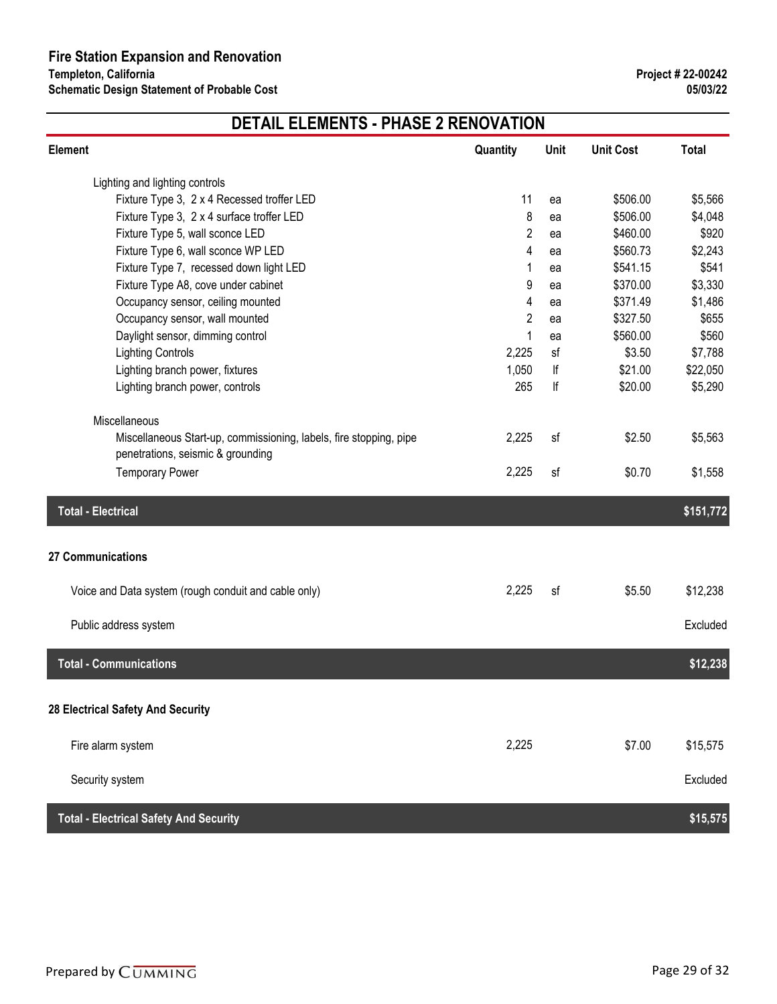| Element                                                            | Quantity | Unit | <b>Unit Cost</b> | <b>Total</b> |
|--------------------------------------------------------------------|----------|------|------------------|--------------|
| Lighting and lighting controls                                     |          |      |                  |              |
| Fixture Type 3, 2 x 4 Recessed troffer LED                         | 11       | ea   | \$506.00         | \$5,566      |
| Fixture Type 3, 2 x 4 surface troffer LED                          | 8        | ea   | \$506.00         | \$4,048      |
| Fixture Type 5, wall sconce LED                                    | 2        | ea   | \$460.00         | \$920        |
| Fixture Type 6, wall sconce WP LED                                 | 4        | ea   | \$560.73         | \$2,243      |
| Fixture Type 7, recessed down light LED                            | 1        | ea   | \$541.15         | \$541        |
| Fixture Type A8, cove under cabinet                                | 9        | ea   | \$370.00         | \$3,330      |
| Occupancy sensor, ceiling mounted                                  | 4        | ea   | \$371.49         | \$1,486      |
| Occupancy sensor, wall mounted                                     | 2        | ea   | \$327.50         | \$655        |
| Daylight sensor, dimming control                                   | 1        | ea   | \$560.00         | \$560        |
| <b>Lighting Controls</b>                                           | 2,225    | sf   | \$3.50           | \$7,788      |
| Lighting branch power, fixtures                                    | 1,050    | lf   | \$21.00          | \$22,050     |
| Lighting branch power, controls                                    | 265      | lf   | \$20.00          | \$5,290      |
| Miscellaneous                                                      |          |      |                  |              |
| Miscellaneous Start-up, commissioning, labels, fire stopping, pipe | 2,225    | sf   | \$2.50           | \$5,563      |
| penetrations, seismic & grounding                                  |          |      |                  |              |
| <b>Temporary Power</b>                                             | 2,225    | sf   | \$0.70           | \$1,558      |
| <b>Total - Electrical</b>                                          |          |      |                  | \$151,772    |
|                                                                    |          |      |                  |              |
| 27 Communications                                                  |          |      |                  |              |
| Voice and Data system (rough conduit and cable only)               | 2,225    | sf   | \$5.50           | \$12,238     |
| Public address system                                              |          |      |                  | Excluded     |
|                                                                    |          |      |                  |              |
| <b>Total - Communications</b>                                      |          |      |                  | \$12,238     |
| 28 Electrical Safety And Security                                  |          |      |                  |              |
|                                                                    |          |      |                  |              |
| Fire alarm system                                                  | 2,225    |      | \$7.00           | \$15,575     |
| Security system                                                    |          |      |                  | Excluded     |
| <b>Total - Electrical Safety And Security</b>                      |          |      |                  | \$15,575     |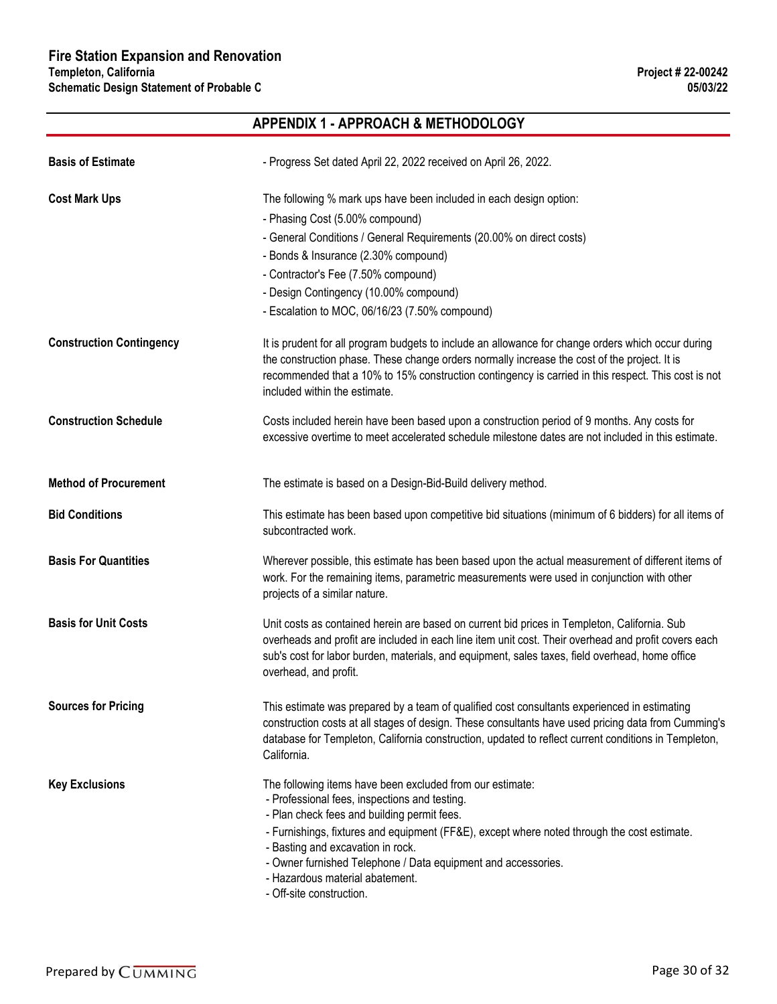### **APPENDIX 1 - APPROACH & METHODOLOGY**

| <b>Basis of Estimate</b>        | - Progress Set dated April 22, 2022 received on April 26, 2022.                                                                                                                                                                                                                                                                                                                                                               |
|---------------------------------|-------------------------------------------------------------------------------------------------------------------------------------------------------------------------------------------------------------------------------------------------------------------------------------------------------------------------------------------------------------------------------------------------------------------------------|
| <b>Cost Mark Ups</b>            | The following % mark ups have been included in each design option:<br>- Phasing Cost (5.00% compound)<br>- General Conditions / General Requirements (20.00% on direct costs)<br>- Bonds & Insurance (2.30% compound)<br>- Contractor's Fee (7.50% compound)<br>- Design Contingency (10.00% compound)<br>- Escalation to MOC, 06/16/23 (7.50% compound)                                                                      |
| <b>Construction Contingency</b> | It is prudent for all program budgets to include an allowance for change orders which occur during<br>the construction phase. These change orders normally increase the cost of the project. It is<br>recommended that a 10% to 15% construction contingency is carried in this respect. This cost is not<br>included within the estimate.                                                                                    |
| <b>Construction Schedule</b>    | Costs included herein have been based upon a construction period of 9 months. Any costs for<br>excessive overtime to meet accelerated schedule milestone dates are not included in this estimate.                                                                                                                                                                                                                             |
| <b>Method of Procurement</b>    | The estimate is based on a Design-Bid-Build delivery method.                                                                                                                                                                                                                                                                                                                                                                  |
| <b>Bid Conditions</b>           | This estimate has been based upon competitive bid situations (minimum of 6 bidders) for all items of<br>subcontracted work.                                                                                                                                                                                                                                                                                                   |
| <b>Basis For Quantities</b>     | Wherever possible, this estimate has been based upon the actual measurement of different items of<br>work. For the remaining items, parametric measurements were used in conjunction with other<br>projects of a similar nature.                                                                                                                                                                                              |
| <b>Basis for Unit Costs</b>     | Unit costs as contained herein are based on current bid prices in Templeton, California. Sub<br>overheads and profit are included in each line item unit cost. Their overhead and profit covers each<br>sub's cost for labor burden, materials, and equipment, sales taxes, field overhead, home office<br>overhead, and profit.                                                                                              |
| <b>Sources for Pricing</b>      | This estimate was prepared by a team of qualified cost consultants experienced in estimating<br>construction costs at all stages of design. These consultants have used pricing data from Cumming's<br>database for Templeton, California construction, updated to reflect current conditions in Templeton,<br>California.                                                                                                    |
| <b>Key Exclusions</b>           | The following items have been excluded from our estimate:<br>- Professional fees, inspections and testing.<br>- Plan check fees and building permit fees.<br>- Furnishings, fixtures and equipment (FF&E), except where noted through the cost estimate.<br>- Basting and excavation in rock.<br>- Owner furnished Telephone / Data equipment and accessories.<br>- Hazardous material abatement.<br>- Off-site construction. |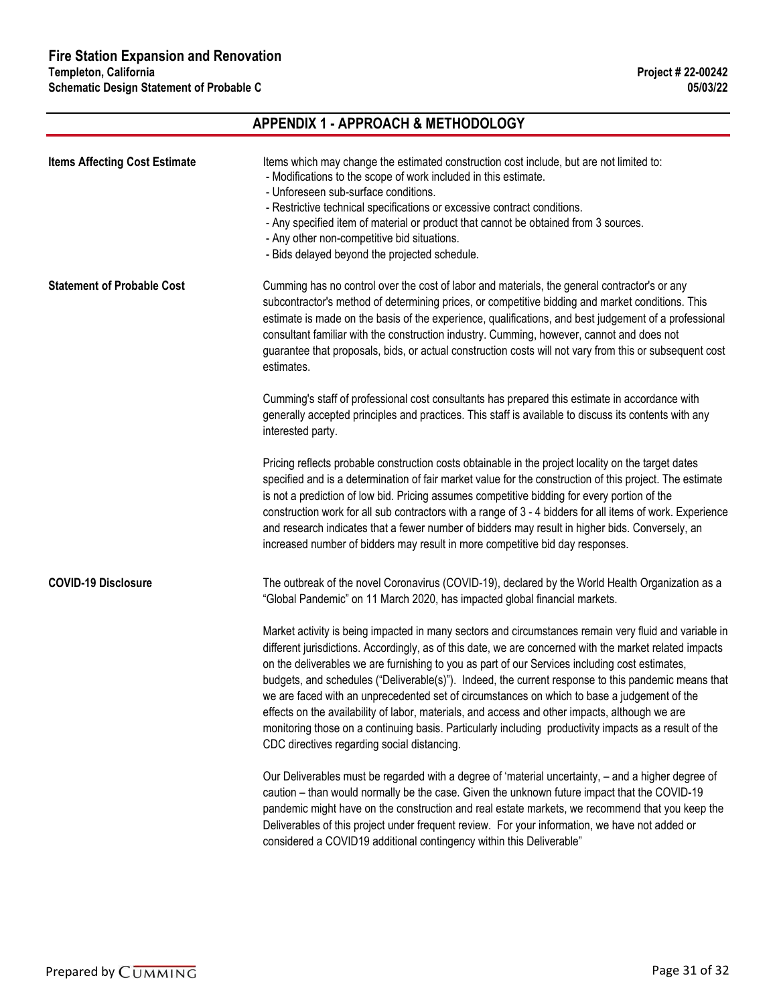### **APPENDIX 1 - APPROACH & METHODOLOGY Items Affecting Cost Estimate** Items which may change the estimated construction cost include, but are not limited to: - Modifications to the scope of work included in this estimate. - Unforeseen sub-surface conditions. - Restrictive technical specifications or excessive contract conditions. - Any specified item of material or product that cannot be obtained from 3 sources. - Any other non-competitive bid situations. - Bids delayed beyond the projected schedule. **Statement of Probable Cost** Cumming has no control over the cost of labor and materials, the general contractor's or any subcontractor's method of determining prices, or competitive bidding and market conditions. This estimate is made on the basis of the experience, qualifications, and best judgement of a professional consultant familiar with the construction industry. Cumming, however, cannot and does not guarantee that proposals, bids, or actual construction costs will not vary from this or subsequent cost estimates. Cumming's staff of professional cost consultants has prepared this estimate in accordance with generally accepted principles and practices. This staff is available to discuss its contents with any interested party. Pricing reflects probable construction costs obtainable in the project locality on the target dates specified and is a determination of fair market value for the construction of this project. The estimate is not a prediction of low bid. Pricing assumes competitive bidding for every portion of the construction work for all sub contractors with a range of 3 - 4 bidders for all items of work. Experience and research indicates that a fewer number of bidders may result in higher bids. Conversely, an increased number of bidders may result in more competitive bid day responses. **COVID-19 Disclosure** The outbreak of the novel Coronavirus (COVID-19), declared by the World Health Organization as a "Global Pandemic" on 11 March 2020, has impacted global financial markets. Market activity is being impacted in many sectors and circumstances remain very fluid and variable in different jurisdictions. Accordingly, as of this date, we are concerned with the market related impacts on the deliverables we are furnishing to you as part of our Services including cost estimates, budgets, and schedules ("Deliverable(s)"). Indeed, the current response to this pandemic means that we are faced with an unprecedented set of circumstances on which to base a judgement of the effects on the availability of labor, materials, and access and other impacts, although we are monitoring those on a continuing basis. Particularly including productivity impacts as a result of the CDC directives regarding social distancing. Our Deliverables must be regarded with a degree of 'material uncertainty, – and a higher degree of caution – than would normally be the case. Given the unknown future impact that the COVID-19 pandemic might have on the construction and real estate markets, we recommend that you keep the Deliverables of this project under frequent review. For your information, we have not added or considered a COVID19 additional contingency within this Deliverable"